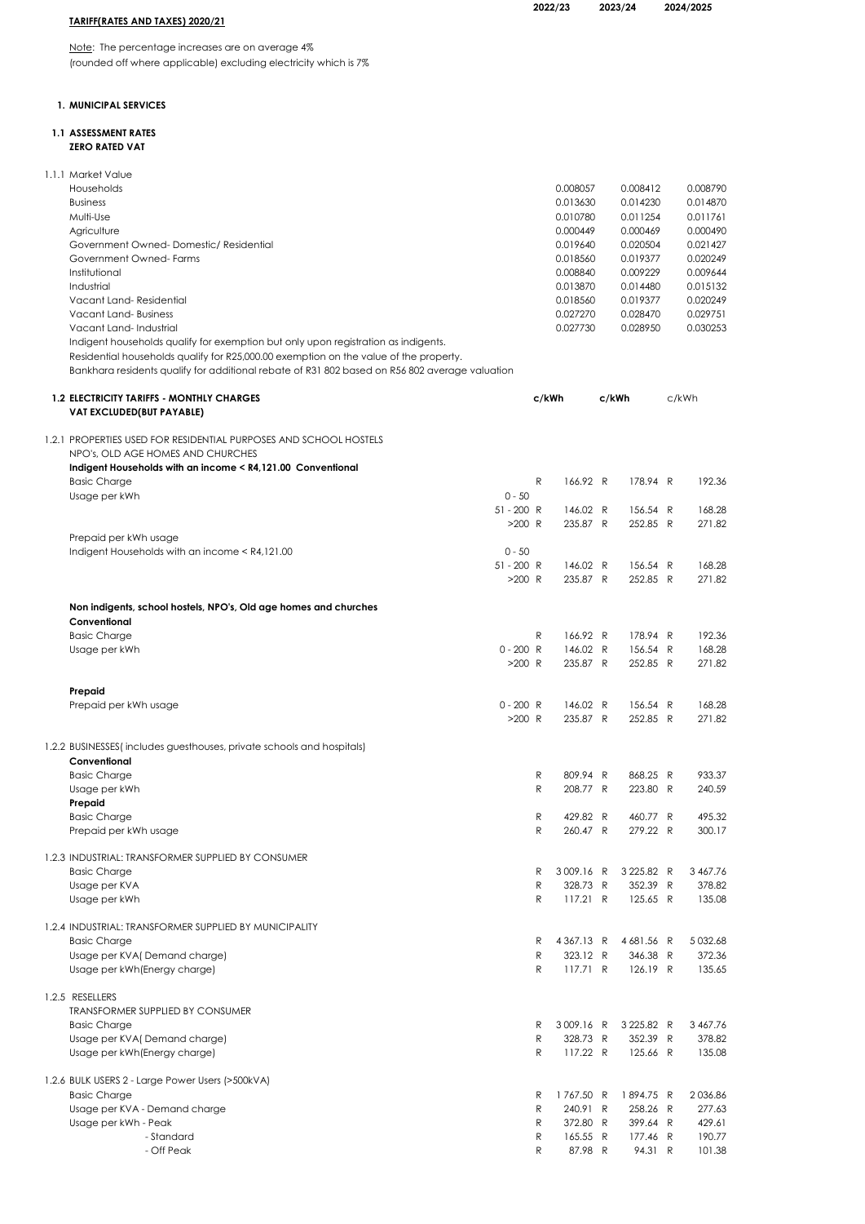|                               | ZUZZ |
|-------------------------------|------|
| RIFF(RATES AND TAXES) 2020/21 |      |

2022/23 2023/24 2024/2025

# <u>TAR</u>

Note: The percentage increases are on average 4% (rounded off where applicable) excluding electricity which is 7%

# 1. MUNICIPAL SERVICES

## 1.1 ASSESSMENT RATES ZERO RATED VAT

| 1.1.1 Market Value                                                                                                                                                          |              |                     |       |                     |                  |
|-----------------------------------------------------------------------------------------------------------------------------------------------------------------------------|--------------|---------------------|-------|---------------------|------------------|
| Households                                                                                                                                                                  |              | 0.008057            |       | 0.008412            | 0.008790         |
| <b>Business</b>                                                                                                                                                             |              | 0.013630            |       | 0.014230            | 0.014870         |
| Multi-Use                                                                                                                                                                   |              | 0.010780            |       | 0.011254            | 0.011761         |
| Agriculture                                                                                                                                                                 |              | 0.000449            |       | 0.000469            | 0.000490         |
| Government Owned-Domestic/Residential                                                                                                                                       |              | 0.019640            |       | 0.020504            | 0.021427         |
| Government Owned-Farms                                                                                                                                                      |              | 0.018560            |       | 0.019377            | 0.020249         |
| Institutional                                                                                                                                                               |              | 0.008840            |       | 0.009229            | 0.009644         |
| Industrial                                                                                                                                                                  |              | 0.013870            |       | 0.014480            | 0.015132         |
| Vacant Land-Residential                                                                                                                                                     |              | 0.018560            |       | 0.019377            | 0.020249         |
| Vacant Land-Business                                                                                                                                                        |              | 0.027270            |       | 0.028470            | 0.029751         |
| Vacant Land-Industrial                                                                                                                                                      |              | 0.027730            |       | 0.028950            | 0.030253         |
| Indigent households qualify for exemption but only upon registration as indigents.<br>Residential households qualify for R25,000.00 exemption on the value of the property. |              |                     |       |                     |                  |
| Bankhara residents qualify for additional rebate of R31 802 based on R56 802 average valuation                                                                              |              |                     |       |                     |                  |
|                                                                                                                                                                             |              |                     |       |                     |                  |
| <b>1.2 ELECTRICITY TARIFFS - MONTHLY CHARGES</b>                                                                                                                            |              | c/kWh               | c/kWh |                     | c/kWh            |
| VAT EXCLUDED(BUT PAYABLE)                                                                                                                                                   |              |                     |       |                     |                  |
|                                                                                                                                                                             |              |                     |       |                     |                  |
| 1.2.1 PROPERTIES USED FOR RESIDENTIAL PURPOSES AND SCHOOL HOSTELS                                                                                                           |              |                     |       |                     |                  |
| NPO's, OLD AGE HOMES AND CHURCHES                                                                                                                                           |              |                     |       |                     |                  |
| Indigent Households with an income < R4,121.00 Conventional                                                                                                                 |              |                     |       |                     |                  |
| <b>Basic Charge</b><br>$0 - 50$                                                                                                                                             | R            | 166.92 R            |       | 178.94 R            | 192.36           |
| Usage per kWh<br>$51 - 200$ R                                                                                                                                               |              | 146.02 R            |       | 156.54 R            | 168.28           |
|                                                                                                                                                                             | $>200$ R     | 235.87 R            |       | 252.85 R            | 271.82           |
| Prepaid per kWh usage                                                                                                                                                       |              |                     |       |                     |                  |
| $0 - 50$<br>Indigent Households with an income < R4,121.00                                                                                                                  |              |                     |       |                     |                  |
| $51 - 200$ R                                                                                                                                                                |              | 146.02 R            |       | 156.54 R            | 168.28           |
|                                                                                                                                                                             | $>200$ R     | 235.87 R            |       | 252.85 R            | 271.82           |
|                                                                                                                                                                             |              |                     |       |                     |                  |
| Non indigents, school hostels, NPO's, Old age homes and churches                                                                                                            |              |                     |       |                     |                  |
| Conventional                                                                                                                                                                |              |                     |       |                     |                  |
| <b>Basic Charge</b>                                                                                                                                                         | R            | 166.92 R            |       | 178.94 R            | 192.36           |
| $0 - 200 R$<br>Usage per kWh                                                                                                                                                |              | 146.02 R            |       | 156.54 R            | 168.28           |
|                                                                                                                                                                             | $>200$ R     | 235.87 R            |       | 252.85 R            | 271.82           |
|                                                                                                                                                                             |              |                     |       |                     |                  |
| Prepaid                                                                                                                                                                     |              |                     |       |                     |                  |
| $0 - 200 R$<br>Prepaid per kWh usage                                                                                                                                        |              | 146.02 R            |       | 156.54 R            | 168.28           |
|                                                                                                                                                                             | $>200$ R     | 235.87 R            |       | 252.85 R            | 271.82           |
| 1.2.2 BUSINESSES(includes guesthouses, private schools and hospitals)                                                                                                       |              |                     |       |                     |                  |
| Conventional                                                                                                                                                                |              |                     |       |                     |                  |
| <b>Basic Charge</b>                                                                                                                                                         | R            | 809.94 R            |       | 868.25 R            | 933.37           |
| Usage per kWh                                                                                                                                                               | R            | 208.77 R            |       | 223.80 R            | 240.59           |
| Prepaid                                                                                                                                                                     |              |                     |       |                     |                  |
| <b>Basic Charge</b>                                                                                                                                                         | R            | 429.82 R            |       | 460.77 R            | 495.32           |
| Prepaid per kWh usage                                                                                                                                                       | $\mathsf{R}$ | 260.47 R            |       | 279.22 R            | 300.17           |
|                                                                                                                                                                             |              |                     |       |                     |                  |
| 1.2.3 INDUSTRIAL: TRANSFORMER SUPPLIED BY CONSUMER                                                                                                                          |              |                     |       |                     |                  |
| <b>Basic Charge</b>                                                                                                                                                         | R            | 3009.16 R           |       | 3 225.82 R          | 3 4 6 7 . 7 6    |
| Usage per KVA                                                                                                                                                               | R            | 328.73 R            |       | 352.39 R            | 378.82           |
| Usage per kWh                                                                                                                                                               | R            | 117.21 R            |       | 125.65 R            | 135.08           |
| 1.2.4 INDUSTRIAL: TRANSFORMER SUPPLIED BY MUNICIPALITY                                                                                                                      |              |                     |       |                     |                  |
| <b>Basic Charge</b>                                                                                                                                                         | R            | 4367.13 R           |       | 4681.56 R           | 5 0 3 2.68       |
| Usage per KVA(Demand charge)                                                                                                                                                | R            | 323.12 R            |       | 346.38 R            | 372.36           |
| Usage per kWh (Energy charge)                                                                                                                                               | R            | 117.71 R            |       | 126.19 R            | 135.65           |
|                                                                                                                                                                             |              |                     |       |                     |                  |
| 1.2.5 RESELLERS                                                                                                                                                             |              |                     |       |                     |                  |
| TRANSFORMER SUPPLIED BY CONSUMER                                                                                                                                            |              |                     |       |                     |                  |
| <b>Basic Charge</b>                                                                                                                                                         | R            | 3009.16 R           |       | 3 2 2 5.8 2 R       | 3 467.76         |
| Usage per KVA(Demand charge)                                                                                                                                                | ${\sf R}$    | 328.73 R            |       | 352.39 R            | 378.82           |
| Usage per kWh (Energy charge)                                                                                                                                               | R            | 117.22 R            |       | 125.66 R            | 135.08           |
|                                                                                                                                                                             |              |                     |       |                     |                  |
| 1.2.6 BULK USERS 2 - Large Power Users (>500kVA)                                                                                                                            |              |                     |       |                     |                  |
| <b>Basic Charge</b>                                                                                                                                                         | R            | 1767.50 R           |       | 1894.75 R           | 2036.86          |
| Usage per KVA - Demand charge                                                                                                                                               | R            | 240.91 R            |       | 258.26 R            | 277.63           |
| Usage per kWh - Peak<br>- Standard                                                                                                                                          | R            | 372.80 R            |       | 399.64 R            | 429.61<br>190.77 |
| - Off Peak                                                                                                                                                                  | R<br>R       | 165.55 R<br>87.98 R |       | 177.46 R<br>94.31 R | 101.38           |
|                                                                                                                                                                             |              |                     |       |                     |                  |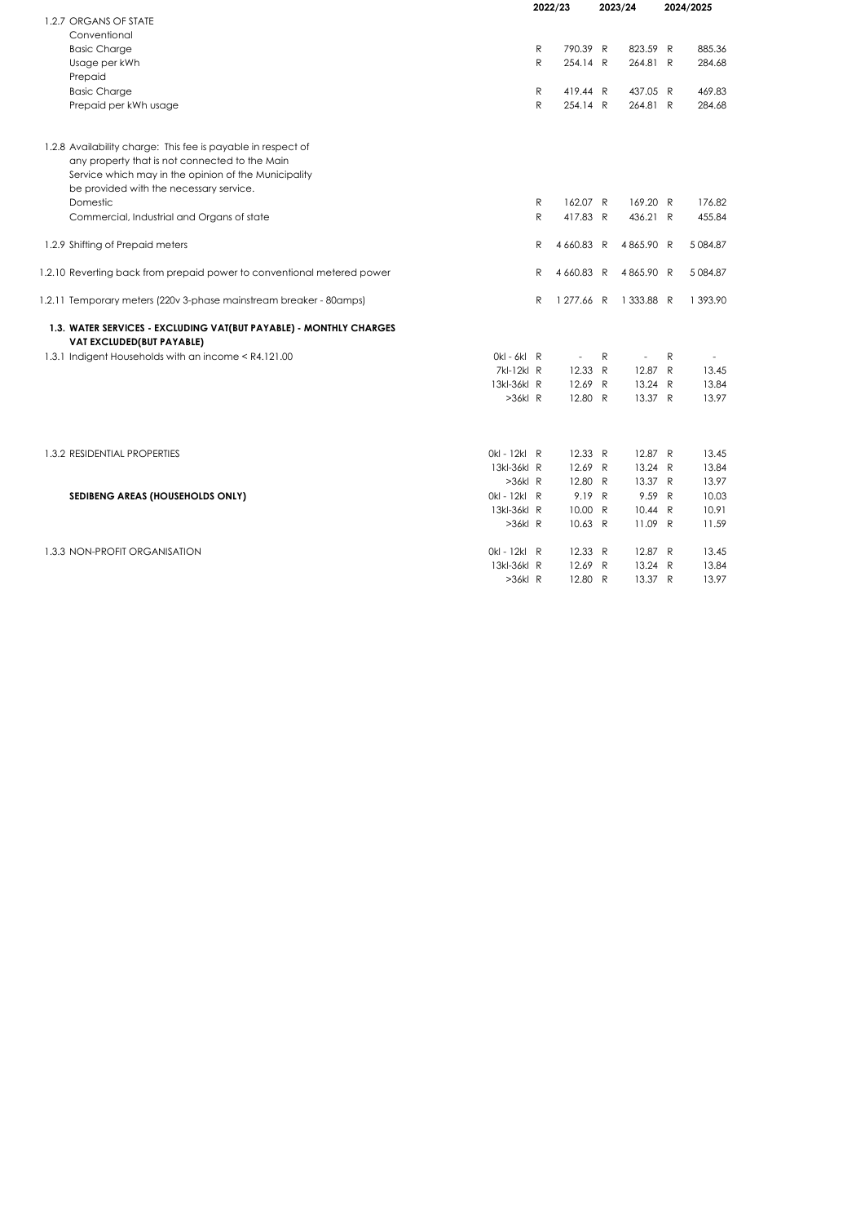|                                                                                                 | 2022/23 |                          | 2023/24      |                          |   | 2024/2025     |
|-------------------------------------------------------------------------------------------------|---------|--------------------------|--------------|--------------------------|---|---------------|
| 1.2.7 ORGANS OF STATE                                                                           |         |                          |              |                          |   |               |
| Conventional                                                                                    |         |                          |              |                          |   |               |
| <b>Basic Charge</b>                                                                             | R       | 790.39 R                 |              | 823.59 R                 |   | 885.36        |
| Usage per kWh                                                                                   | R       | 254.14 R                 |              | 264.81 R                 |   | 284.68        |
| Prepaid                                                                                         |         |                          |              |                          |   |               |
| <b>Basic Charge</b>                                                                             | R       | 419.44 R                 |              | 437.05 R                 |   | 469.83        |
| Prepaid per kWh usage                                                                           | R       | 254.14 R                 |              | 264.81 R                 |   | 284.68        |
| 1.2.8 Availability charge: This fee is payable in respect of                                    |         |                          |              |                          |   |               |
| any property that is not connected to the Main                                                  |         |                          |              |                          |   |               |
| Service which may in the opinion of the Municipality                                            |         |                          |              |                          |   |               |
| be provided with the necessary service.                                                         |         |                          |              |                          |   |               |
| Domestic                                                                                        | R       | 162.07 R                 |              | 169.20 R                 |   | 176.82        |
| Commercial, Industrial and Organs of state                                                      | R       | 417.83 R                 |              | 436.21 R                 |   | 455.84        |
| 1.2.9 Shifting of Prepaid meters                                                                | R       | 4660.83 R                |              | 4865.90 R                |   | 5 0 8 4 . 8 7 |
| 1.2.10 Reverting back from prepaid power to conventional metered power                          | R       | 4 660.83 R               |              | 4865.90 R                |   | 5 084.87      |
| 1.2.11 Temporary meters (220v 3-phase mainstream breaker - 80amps)                              | R       | 1 277.66 R               |              | 1 333.88 R               |   | 1 393.90      |
| 1.3. WATER SERVICES - EXCLUDING VAT(BUT PAYABLE) - MONTHLY CHARGES<br>VAT EXCLUDED(BUT PAYABLE) |         |                          |              |                          |   |               |
| 1.3.1 Indigent Households with an income < R4.121.00<br>$Okl - 6kl$ R                           |         | $\overline{\phantom{a}}$ | R            | $\overline{\phantom{a}}$ | R |               |
| 7kl-12kl R                                                                                      |         | 12.33                    | R            | 12.87 R                  |   | 13.45         |
| 13kl-36kl R                                                                                     |         | 12.69                    | R            | 13.24 R                  |   | 13.84         |
| $>36k$ R                                                                                        |         | 12.80 R                  |              | 13.37 R                  |   | 13.97         |
|                                                                                                 |         |                          |              |                          |   |               |
| 0kl - 12kl R<br>1.3.2 RESIDENTIAL PROPERTIES                                                    |         | 12.33 R                  |              | 12.87 R                  |   | 13.45         |
| 13kl-36kl R                                                                                     |         | 12.69                    | R            | 13.24 R                  |   | 13.84         |
| $>36k$ R                                                                                        |         | 12.80 R                  |              | 13.37 R                  |   | 13.97         |
| 0kl - 12kl R<br>SEDIBENG AREAS (HOUSEHOLDS ONLY)                                                |         | 9.19 R                   |              | 9.59 R                   |   | 10.03         |
| 13kl-36kl R                                                                                     |         | 10.00 R                  |              | 10.44 R                  |   | 10.91         |
| $>36k$ R                                                                                        |         | 10.63 R                  |              | 11.09 R                  |   | 11.59         |
| 0kl - 12kl R<br>1.3.3 NON-PROFIT ORGANISATION                                                   |         | 12.33 R                  |              | 12.87 R                  |   | 13.45         |
| 13kl-36kl R                                                                                     |         | 12.69                    | $\mathsf{R}$ | 13.24 R                  |   | 13.84         |
| $>36k$ R                                                                                        |         | 12.80 R                  |              | 13.37 R                  |   | 13.97         |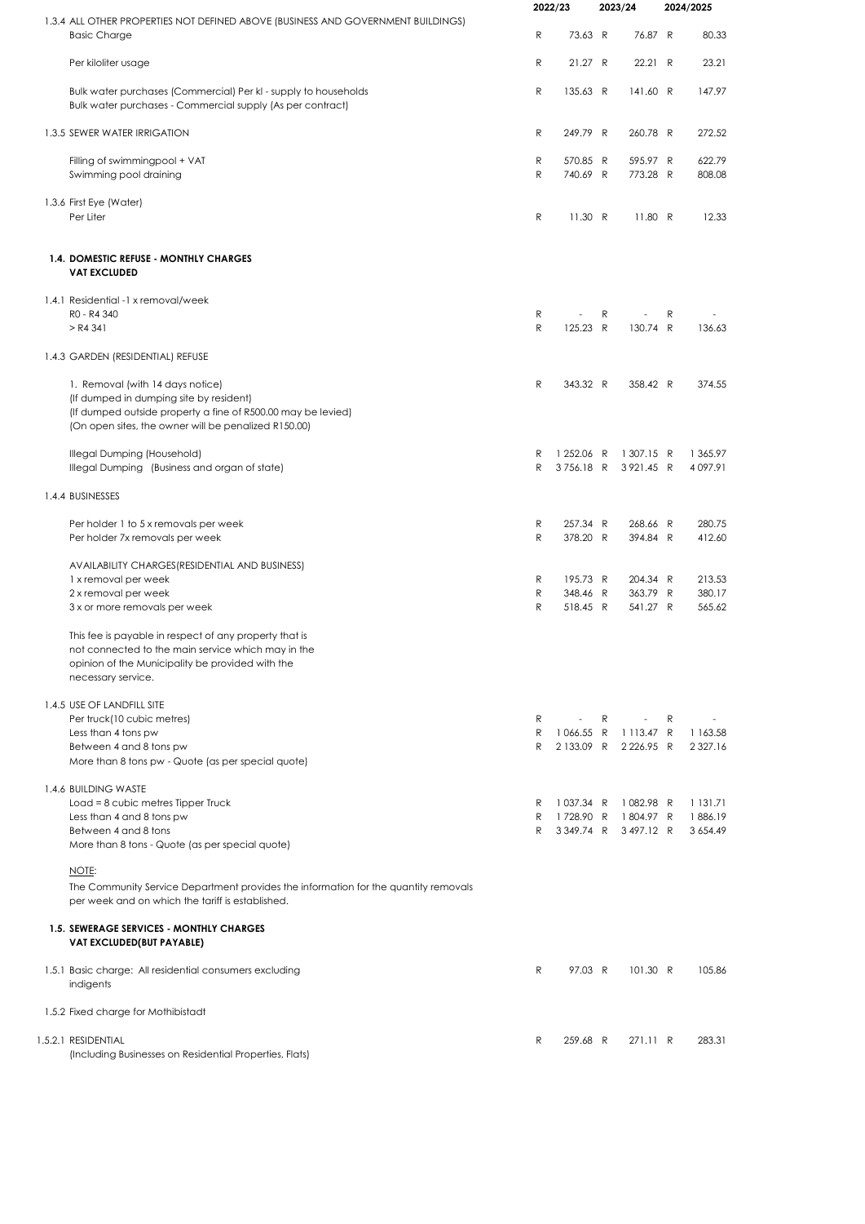|                                                                                                                                                                                                     |              | 2022/23                  |   | 2023/24                                         |   | 2024/2025           |
|-----------------------------------------------------------------------------------------------------------------------------------------------------------------------------------------------------|--------------|--------------------------|---|-------------------------------------------------|---|---------------------|
| 1.3.4 ALL OTHER PROPERTIES NOT DEFINED ABOVE (BUSINESS AND GOVERNMENT BUILDINGS)<br><b>Basic Charge</b>                                                                                             | R            | 73.63 R                  |   | 76.87 R                                         |   | 80.33               |
| Per kiloliter usage                                                                                                                                                                                 | R            | 21.27 R                  |   | 22.21 R                                         |   | 23.21               |
| Bulk water purchases (Commercial) Per kl - supply to households<br>Bulk water purchases - Commercial supply (As per contract)                                                                       | ${\sf R}$    | 135.63 R                 |   | 141.60 R                                        |   | 147.97              |
| 1.3.5 SEWER WATER IRRIGATION                                                                                                                                                                        | R            | 249.79 R                 |   | 260.78 R                                        |   | 272.52              |
| Filling of swimmingpool + VAT                                                                                                                                                                       | R<br>R       | 570.85 R                 |   | 595.97 R                                        |   | 622.79              |
| Swimming pool draining                                                                                                                                                                              |              | 740.69 R                 |   | 773.28 R                                        |   | 808.08              |
| 1.3.6 First Eye (Water)<br>Per Liter                                                                                                                                                                | R            | 11.30 R                  |   | 11.80 R                                         |   | 12.33               |
| 1.4. DOMESTIC REFUSE - MONTHLY CHARGES<br><b>VAT EXCLUDED</b>                                                                                                                                       |              |                          |   |                                                 |   |                     |
| 1.4.1 Residential -1 x removal/week<br>R0 - R4 340                                                                                                                                                  | R            |                          | R |                                                 | R |                     |
| $>$ R4 341                                                                                                                                                                                          | $\mathsf{R}$ | 125.23 R                 |   | 130.74 R                                        |   | 136.63              |
| 1.4.3 GARDEN (RESIDENTIAL) REFUSE                                                                                                                                                                   |              |                          |   |                                                 |   |                     |
| 1. Removal (with 14 days notice)<br>(If dumped in dumping site by resident)<br>(If dumped outside property a fine of R500.00 may be levied)<br>(On open sites, the owner will be penalized R150.00) | R            | 343.32 R                 |   | 358.42 R                                        |   | 374.55              |
| Illegal Dumping (Household)<br>Illegal Dumping (Business and organ of state)                                                                                                                        | R<br>R       | 1 252.06 R<br>3756.18 R  |   | 1 307.15 R<br>3921.45 R                         |   | 1 365.97<br>4097.91 |
| 1.4.4 BUSINESSES                                                                                                                                                                                    |              |                          |   |                                                 |   |                     |
| Per holder 1 to 5 x removals per week<br>Per holder 7x removals per week                                                                                                                            | R<br>R       | 257.34 R<br>378.20 R     |   | 268.66 R<br>394.84 R                            |   | 280.75<br>412.60    |
| AVAILABILITY CHARGES (RESIDENTIAL AND BUSINESS)                                                                                                                                                     | R            | 195.73 R                 |   | 204.34 R                                        |   | 213.53              |
| 1 x removal per week<br>2 x removal per week                                                                                                                                                        | ${\sf R}$    | 348.46 R                 |   | 363.79 R                                        |   | 380.17              |
| 3 x or more removals per week                                                                                                                                                                       | R            | 518.45 R                 |   | 541.27 R                                        |   | 565.62              |
| This fee is payable in respect of any property that is<br>not connected to the main service which may in the<br>opinion of the Municipality be provided with the<br>necessary service.              |              |                          |   |                                                 |   |                     |
| 1.4.5 USE OF LANDFILL SITE                                                                                                                                                                          |              |                          |   |                                                 |   |                     |
| Per truck(10 cubic metres)<br>Less than 4 tons pw                                                                                                                                                   | R<br>R       | $\overline{\phantom{a}}$ | R | $\overline{\phantom{a}}$<br>1066.55 R 1113.47 R | R | 1 1 6 3 .5 8        |
| Between 4 and 8 tons pw<br>More than 8 tons pw - Quote (as per special quote)                                                                                                                       | R            | 2 133.09 R               |   | 2 2 2 6 .95 R                                   |   | 2 3 2 7 . 1 6       |
| 1.4.6 BUILDING WASTE                                                                                                                                                                                |              |                          |   |                                                 |   |                     |
| Load = 8 cubic metres Tipper Truck<br>Less than 4 and 8 tons pw                                                                                                                                     | R<br>R       | 1037.34 R<br>1728.90 R   |   | 1082.98 R<br>1804.97 R                          |   | 1 131.71<br>1886.19 |
| Between 4 and 8 tons<br>More than 8 tons - Quote (as per special quote)                                                                                                                             | R            | 3349.74 R                |   | 3497.12 R                                       |   | 3 6 5 4 . 4 9       |
| NOTE:                                                                                                                                                                                               |              |                          |   |                                                 |   |                     |
| The Community Service Department provides the information for the quantity removals<br>per week and on which the tariff is established.                                                             |              |                          |   |                                                 |   |                     |
| 1.5. SEWERAGE SERVICES - MONTHLY CHARGES<br>VAT EXCLUDED(BUT PAYABLE)                                                                                                                               |              |                          |   |                                                 |   |                     |
| 1.5.1 Basic charge: All residential consumers excluding<br>indigents                                                                                                                                | R            | 97.03 R                  |   | 101.30 R                                        |   | 105.86              |
| 1.5.2 Fixed charge for Mothibistadt                                                                                                                                                                 |              |                          |   |                                                 |   |                     |
| 1.5.2.1 RESIDENTIAL<br>(Including Businesses on Residential Properties, Flats)                                                                                                                      | R            | 259.68 R                 |   | 271.11 R                                        |   | 283.31              |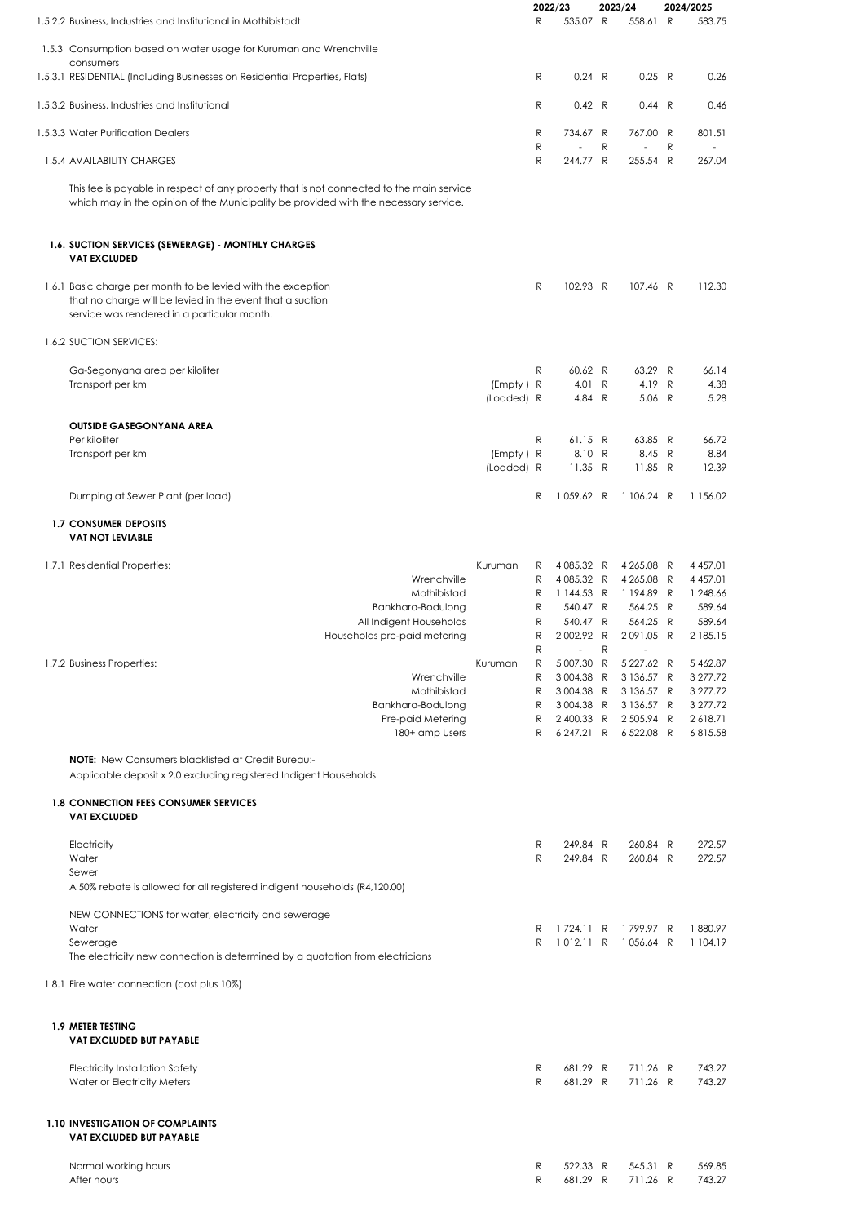|                                                                                                                                                                                                       |                         |                                 | 2022/23                                                                     |   | 2023/24                                                                                     |   | 2024/2025                                                            |
|-------------------------------------------------------------------------------------------------------------------------------------------------------------------------------------------------------|-------------------------|---------------------------------|-----------------------------------------------------------------------------|---|---------------------------------------------------------------------------------------------|---|----------------------------------------------------------------------|
| 1.5.2.2 Business, Industries and Institutional in Mothibistadt                                                                                                                                        |                         | R                               | 535.07 R                                                                    |   | 558.61 R                                                                                    |   | 583.75                                                               |
| 1.5.3 Consumption based on water usage for Kuruman and Wrenchville<br>consumers                                                                                                                       |                         |                                 |                                                                             |   |                                                                                             |   |                                                                      |
| 1.5.3.1 RESIDENTIAL (Including Businesses on Residential Properties, Flats)                                                                                                                           |                         | R                               | 0.24 R                                                                      |   | 0.25 R                                                                                      |   | 0.26                                                                 |
| 1.5.3.2 Business, Industries and Institutional                                                                                                                                                        |                         | R                               | 0.42 R                                                                      |   | 0.44 R                                                                                      |   | 0.46                                                                 |
| 1.5.3.3 Water Purification Dealers                                                                                                                                                                    |                         | R<br>R                          | 734.67 R                                                                    | R | 767.00 R                                                                                    | R | 801.51                                                               |
| 1.5.4 AVAILABILITY CHARGES                                                                                                                                                                            |                         | $\mathsf{R}$                    | 244.77 R                                                                    |   | 255.54 R                                                                                    |   | 267.04                                                               |
| This fee is payable in respect of any property that is not connected to the main service<br>which may in the opinion of the Municipality be provided with the necessary service.                      |                         |                                 |                                                                             |   |                                                                                             |   |                                                                      |
| 1.6. SUCTION SERVICES (SEWERAGE) - MONTHLY CHARGES<br><b>VAT EXCLUDED</b>                                                                                                                             |                         |                                 |                                                                             |   |                                                                                             |   |                                                                      |
| 1.6.1 Basic charge per month to be levied with the exception<br>that no charge will be levied in the event that a suction<br>service was rendered in a particular month.                              |                         | R                               | 102.93 R                                                                    |   | 107.46 R                                                                                    |   | 112.30                                                               |
| 1.6.2 SUCTION SERVICES:                                                                                                                                                                               |                         |                                 |                                                                             |   |                                                                                             |   |                                                                      |
| Ga-Segonyana area per kiloliter<br>Transport per km                                                                                                                                                   | (Empty) R<br>(Loaded) R | R                               | 60.62 R<br>4.01 R<br>4.84 R                                                 |   | 63.29 R<br>4.19 R<br>5.06 R                                                                 |   | 66.14<br>4.38<br>5.28                                                |
| <b>OUTSIDE GASEGONYANA AREA</b><br>Per kiloliter                                                                                                                                                      |                         | R                               | 61.15 R                                                                     |   | 63.85 R                                                                                     |   | 66.72                                                                |
| Transport per km                                                                                                                                                                                      | (Empty) R<br>(Loaded) R |                                 | 8.10 R<br>11.35 R                                                           |   | 8.45 R<br>11.85 R                                                                           |   | 8.84<br>12.39                                                        |
| Dumping at Sewer Plant (per load)                                                                                                                                                                     |                         | R                               | 1059.62 R                                                                   |   | 1 106.24 R                                                                                  |   | 1 156.02                                                             |
| <b>1.7 CONSUMER DEPOSITS</b><br><b>VAT NOT LEVIABLE</b>                                                                                                                                               |                         |                                 |                                                                             |   |                                                                                             |   |                                                                      |
| 1.7.1 Residential Properties:<br>Wrenchville<br>Mothibistad<br>Bankhara-Bodulong<br>All Indigent Households<br>Households pre-paid metering                                                           | Kuruman                 | R<br>R<br>R<br>R<br>R<br>R      | 4 085.32 R<br>4 085.32 R<br>1 144.53 R<br>540.47 R<br>540.47 R<br>2002.92 R |   | 4 265.08 R<br>4 265.08 R<br>1194.89 R<br>564.25 R<br>564.25 R<br>2091.05 R                  |   | 4 4 5 7.01<br>4 4 5 7.01<br>1 248.66<br>589.64<br>589.64<br>2 185.15 |
| 1.7.2 Business Properties:<br>Wrenchville<br>Mothibistad<br>Bankhara-Bodulong<br>Pre-paid Metering<br>180+ amp Users                                                                                  | Kuruman                 | R<br>R<br>R<br>R<br>R<br>R<br>R | 5 007.30 R<br>3004.38 R<br>3004.38 R<br>3004.38 R<br>2400.33 R              | R | 5 227.62 R<br>3 136.57 R<br>3 136.57 R<br>3 136.57 R<br>2 505.94 R<br>6 247.21 R 6 522.08 R |   | 5 4 6 2.87<br>3 277.72<br>3 277.72<br>3 277.72<br>2618.71<br>6815.58 |
| <b>NOTE:</b> New Consumers blacklisted at Credit Bureau:-<br>Applicable deposit x 2.0 excluding registered Indigent Households<br><b>1.8 CONNECTION FEES CONSUMER SERVICES</b><br><b>VAT EXCLUDED</b> |                         |                                 |                                                                             |   |                                                                                             |   |                                                                      |
| Electricity                                                                                                                                                                                           |                         | R                               | 249.84 R                                                                    |   | 260.84 R                                                                                    |   | 272.57                                                               |
| Water<br>Sewer<br>A 50% rebate is allowed for all registered indigent households (R4,120.00)                                                                                                          |                         | R                               | 249.84 R                                                                    |   | 260.84 R                                                                                    |   | 272.57                                                               |
| NEW CONNECTIONS for water, electricity and sewerage<br>Water                                                                                                                                          |                         | R                               | 1724.11 R                                                                   |   | 1799.97 R                                                                                   |   | 1880.97                                                              |
| Sewerage<br>The electricity new connection is determined by a quotation from electricians                                                                                                             |                         | R                               | 1012.11 R                                                                   |   | 1056.64 R                                                                                   |   | 1 104.19                                                             |
| 1.8.1 Fire water connection (cost plus 10%)                                                                                                                                                           |                         |                                 |                                                                             |   |                                                                                             |   |                                                                      |
| <b>1.9 METER TESTING</b><br>VAT EXCLUDED BUT PAYABLE                                                                                                                                                  |                         |                                 |                                                                             |   |                                                                                             |   |                                                                      |
| <b>Electricity Installation Safety</b><br>Water or Electricity Meters                                                                                                                                 |                         | R<br>R                          | 681.29 R<br>681.29 R                                                        |   | 711.26 R<br>711.26 R                                                                        |   | 743.27<br>743.27                                                     |
| <b>1.10 INVESTIGATION OF COMPLAINTS</b><br><b>VAT EXCLUDED BUT PAYABLE</b>                                                                                                                            |                         |                                 |                                                                             |   |                                                                                             |   |                                                                      |
| Normal working hours<br>After hours                                                                                                                                                                   |                         | R<br>R                          | 522.33 R<br>681.29 R                                                        |   | 545.31 R<br>711.26 R                                                                        |   | 569.85<br>743.27                                                     |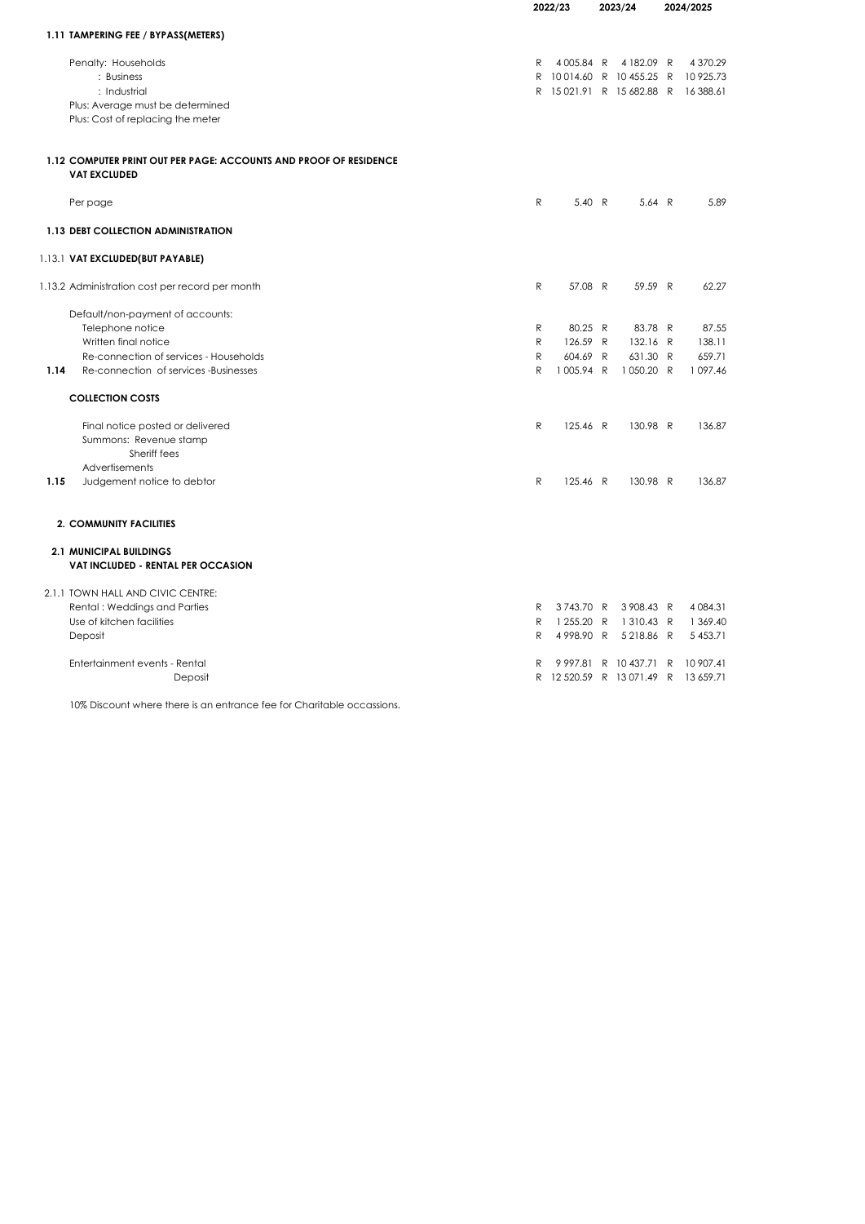|      |                                                                                          |              | 2022/23                   |  | 2023/24                |  | 2024/2025     |
|------|------------------------------------------------------------------------------------------|--------------|---------------------------|--|------------------------|--|---------------|
|      |                                                                                          |              |                           |  |                        |  |               |
|      | 1.11 TAMPERING FEE / BYPASS(METERS)                                                      |              |                           |  |                        |  |               |
|      | Penalty: Households                                                                      | R            |                           |  | 4005.84 R 4182.09 R    |  | 4 370.29      |
|      | : Business                                                                               |              | R 10014.60 R 10455.25 R   |  |                        |  | 10 925.73     |
|      | : Industrial                                                                             |              | R 15021.91 R 15682.88 R   |  |                        |  | 16 388.61     |
|      | Plus: Average must be determined                                                         |              |                           |  |                        |  |               |
|      | Plus: Cost of replacing the meter                                                        |              |                           |  |                        |  |               |
|      | 1.12 COMPUTER PRINT OUT PER PAGE: ACCOUNTS AND PROOF OF RESIDENCE<br><b>VAT EXCLUDED</b> |              |                           |  |                        |  |               |
|      | Per page                                                                                 | R            | 5.40 R                    |  | 5.64 R                 |  | 5.89          |
|      | 1.13 DEBT COLLECTION ADMINISTRATION                                                      |              |                           |  |                        |  |               |
|      | 1.13.1 VAT EXCLUDED(BUT PAYABLE)                                                         |              |                           |  |                        |  |               |
|      | 1.13.2 Administration cost per record per month                                          | R            | 57.08 R                   |  | 59.59 R                |  | 62.27         |
|      | Default/non-payment of accounts:                                                         |              |                           |  |                        |  |               |
|      | Telephone notice                                                                         | R            | 80.25 R                   |  | 83.78 R                |  | 87.55         |
|      | Written final notice                                                                     | R            | 126.59 R                  |  | 132.16 R               |  | 138.11        |
|      | Re-connection of services - Households                                                   | $\mathsf{R}$ | 604.69 R                  |  | 631.30 R               |  | 659.71        |
| 1.14 | Re-connection of services -Businesses                                                    | R            | 1005.94 R                 |  | 1050.20 R              |  | 1097.46       |
|      | <b>COLLECTION COSTS</b>                                                                  |              |                           |  |                        |  |               |
|      | Final notice posted or delivered                                                         | R            | 125.46 R                  |  | 130.98 R               |  | 136.87        |
|      | Summons: Revenue stamp                                                                   |              |                           |  |                        |  |               |
|      | Sheriff fees                                                                             |              |                           |  |                        |  |               |
|      | Advertisements                                                                           |              |                           |  |                        |  |               |
| 1.15 | Judgement notice to debtor                                                               | R            | 125.46 R                  |  | 130.98 R               |  | 136.87        |
|      | <b>2. COMMUNITY FACILITIES</b>                                                           |              |                           |  |                        |  |               |
|      | <b>2.1 MUNICIPAL BUILDINGS</b><br>VAT INCLUDED - RENTAL PER OCCASION                     |              |                           |  |                        |  |               |
|      |                                                                                          |              |                           |  |                        |  |               |
|      | 2.1.1 TOWN HALL AND CIVIC CENTRE:                                                        |              |                           |  |                        |  |               |
|      | Rental: Weddings and Parties                                                             | R            | 3743.70 R                 |  | 3908.43 R              |  | 4 0 8 4 . 3 1 |
|      | Use of kitchen facilities                                                                | R            | 1 255.20 R                |  | 1310.43 R              |  | 1 369.40      |
|      | Deposit                                                                                  | R            | 4998.90 R                 |  | 5218.86 R              |  | 5 4 5 3.71    |
|      | Entertainment events - Rental                                                            | R            |                           |  | 9 997.81 R 10 437.71 R |  | 10 907.41     |
|      | Deposit                                                                                  |              | R 12 520.59 R 13 071.49 R |  |                        |  | 13 659.71     |

10% Discount where there is an entrance fee for Charitable occassions.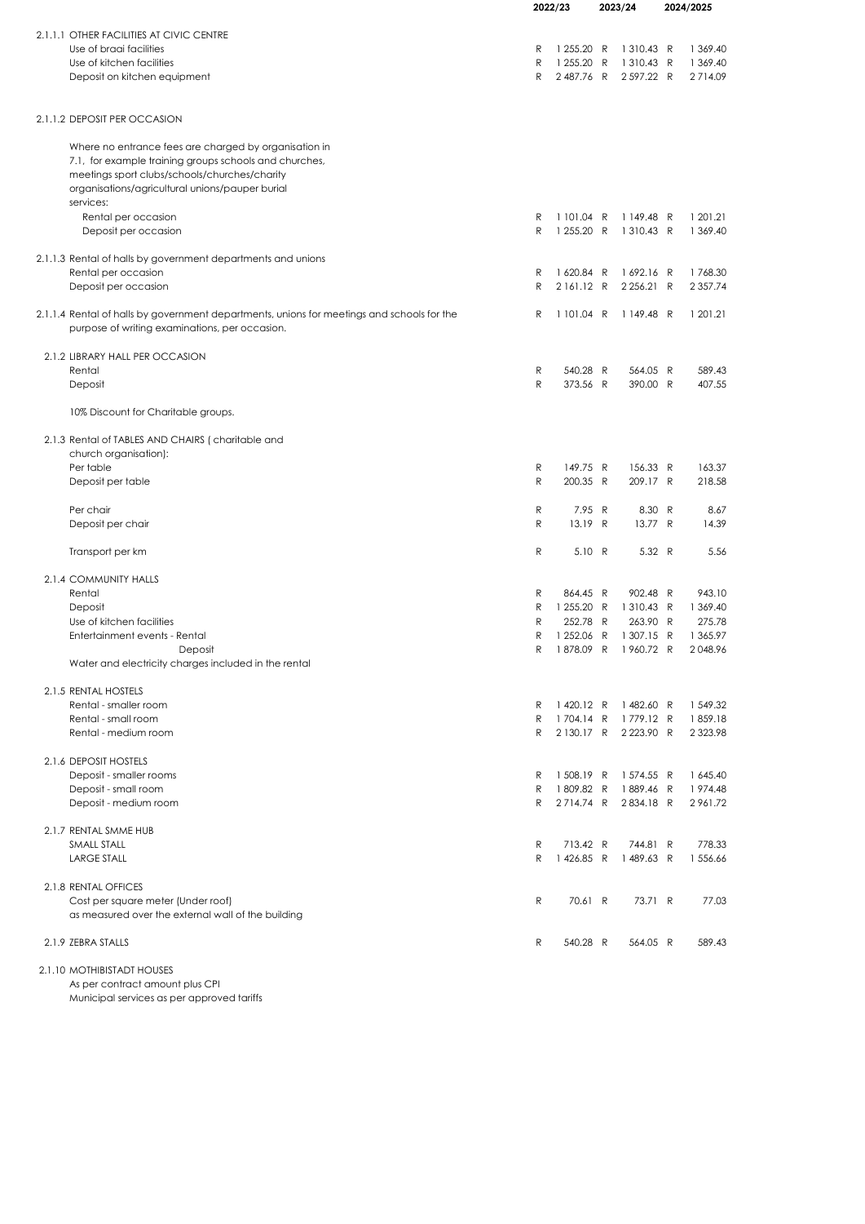|                                                                                            |        | 2022/23<br>2023/24 |              | 2024/2025                        |               |
|--------------------------------------------------------------------------------------------|--------|--------------------|--------------|----------------------------------|---------------|
|                                                                                            |        |                    |              |                                  |               |
| 2.1.1.1 OTHER FACILITIES AT CIVIC CENTRE                                                   |        |                    |              |                                  |               |
| Use of braai facilities                                                                    | R      | 1 255.20 R         |              | 1310.43 R                        | 1 369.40      |
| Use of kitchen facilities                                                                  | R      | 1 255.20           | R            | 1 310.43 R                       | 1 369.40      |
| Deposit on kitchen equipment                                                               | R      | 2487.76 R          |              | 2 597.22 R                       | 2714.09       |
| 2.1.1.2 DEPOSIT PER OCCASION                                                               |        |                    |              |                                  |               |
| Where no entrance fees are charged by organisation in                                      |        |                    |              |                                  |               |
| 7.1, for example training groups schools and churches,                                     |        |                    |              |                                  |               |
| meetings sport clubs/schools/churches/charity                                              |        |                    |              |                                  |               |
| organisations/agricultural unions/pauper burial                                            |        |                    |              |                                  |               |
| services:                                                                                  |        |                    |              |                                  |               |
| Rental per occasion                                                                        | R      | 1 101.04 R         |              | 1149.48 R                        | 1 201.21      |
| Deposit per occasion                                                                       | R      | 1 255.20 R         |              | 1 310.43 R                       | 1 369.40      |
| 2.1.1.3 Rental of halls by government departments and unions                               |        |                    |              |                                  |               |
| Rental per occasion                                                                        | R      | 1620.84 R          |              | 1692.16 R                        | 1768.30       |
| Deposit per occasion                                                                       | R      | 2161.12 R          |              | 2 2 5 6.21 R                     | 2 3 5 7.74    |
| 2.1.1.4 Rental of halls by government departments, unions for meetings and schools for the | R      | 1 101.04 R         |              | 1149.48 R                        | 1 201.21      |
| purpose of writing examinations, per occasion.                                             |        |                    |              |                                  |               |
| 2.1.2 LIBRARY HALL PER OCCASION                                                            |        |                    |              |                                  |               |
| Rental                                                                                     | R      | 540.28 R           |              | 564.05 R                         | 589.43        |
| Deposit                                                                                    | R      | 373.56 R           |              | 390.00 R                         | 407.55        |
| 10% Discount for Charitable groups.                                                        |        |                    |              |                                  |               |
| 2.1.3 Rental of TABLES AND CHAIRS (charitable and                                          |        |                    |              |                                  |               |
| church organisation):                                                                      |        |                    |              |                                  |               |
| Per table                                                                                  | R      | 149.75 R           |              | 156.33 R                         | 163.37        |
| Deposit per table                                                                          | R      | 200.35 R           |              | 209.17 R                         | 218.58        |
| Per chair                                                                                  | R      | 7.95               | $\mathsf{R}$ | 8.30 R                           | 8.67          |
| Deposit per chair                                                                          | R      | 13.19 R            |              | 13.77 R                          | 14.39         |
|                                                                                            |        |                    |              |                                  |               |
| Transport per km                                                                           | R      | 5.10 R             |              | 5.32 R                           | 5.56          |
| 2.1.4 COMMUNITY HALLS                                                                      |        |                    |              |                                  |               |
| Rental                                                                                     | R      | 864.45 R           |              | 902.48 R                         | 943.10        |
| Deposit                                                                                    | R      | 1 255.20 R         |              | 1310.43 R                        | 1 369.40      |
| Use of kitchen facilities                                                                  | R      | 252.78 R           |              | 263.90 R                         | 275.78        |
| Entertainment events - Rental                                                              | R      | 1 252.06 R         |              | 1 307.15 R                       | 1 365.97      |
| Deposit<br>Water and electricity charges included in the rental                            | R      | 1878.09            | R            | 1960.72 R                        | 2048.96       |
|                                                                                            |        |                    |              |                                  |               |
| 2.1.5 RENTAL HOSTELS<br>Rental - smaller room                                              |        |                    |              |                                  | 1 549.32      |
| Rental - small room                                                                        | R<br>R | 1704.14 R          |              | 1420.12 R 1482.60 R<br>1779.12 R | 1859.18       |
| Rental - medium room                                                                       | R      |                    |              | 2130.17 R 2223.90 R              | 2 3 2 3 . 9 8 |
|                                                                                            |        |                    |              |                                  |               |
| 2.1.6 DEPOSIT HOSTELS                                                                      |        |                    |              |                                  |               |
| Deposit - smaller rooms                                                                    | R      | 1508.19 R          |              | 1 574.55 R                       | 1 645.40      |
| Deposit - small room                                                                       | R      | 1809.82 R          |              | 1889.46 R                        | 1974.48       |
| Deposit - medium room                                                                      | R      | 2714.74 R          |              | 2834.18 R                        | 2961.72       |
| 2.1.7 RENTAL SMME HUB                                                                      |        |                    |              |                                  |               |
| SMALL STALL                                                                                | R      | 713.42 R           |              | 744.81 R                         | 778.33        |
| <b>LARGE STALL</b>                                                                         | R      | 1426.85 R          |              | 1489.63 R                        | 1 556.66      |
| 2.1.8 RENTAL OFFICES                                                                       |        |                    |              |                                  |               |
| Cost per square meter (Under roof)                                                         | R      | 70.61 R            |              | 73.71 R                          | 77.03         |
| as measured over the external wall of the building                                         |        |                    |              |                                  |               |
| 2.1.9 ZEBRA STALLS                                                                         | R      | 540.28 R           |              | 564.05 R                         | 589.43        |
|                                                                                            |        |                    |              |                                  |               |
| 2.1.10 MOTHIBISTADT HOUSES                                                                 |        |                    |              |                                  |               |

As per contract amount plus CPI Municipal services as per approved tariffs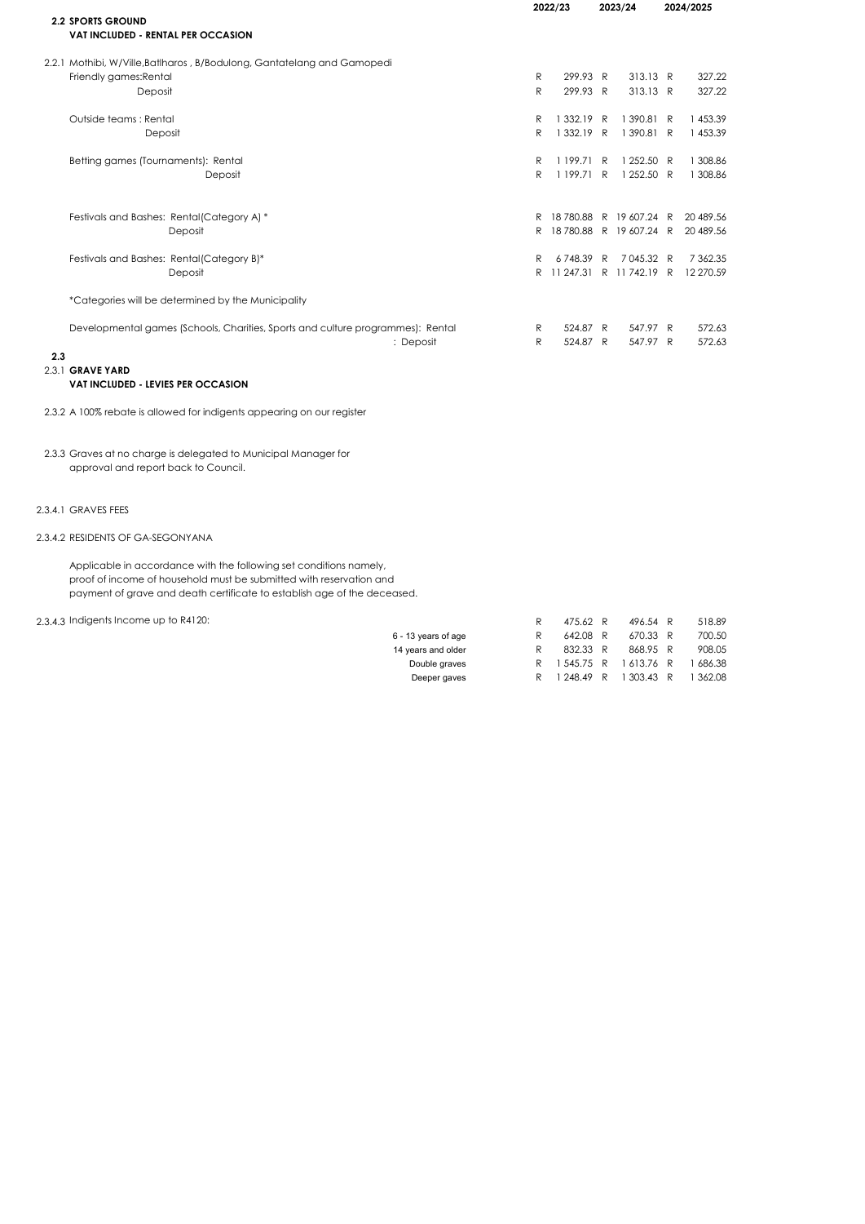|     |                                                                                 |    | 2022/23    |              | 2023/24               | 2024/2025 |           |
|-----|---------------------------------------------------------------------------------|----|------------|--------------|-----------------------|-----------|-----------|
|     | <b>2.2 SPORTS GROUND</b><br><b>VAT INCLUDED - RENTAL PER OCCASION</b>           |    |            |              |                       |           |           |
|     | 2.2.1 Mothibi, W/Ville, Batlharos, B/Bodulong, Gantatelang and Gamopedi         |    |            |              |                       |           |           |
|     | Friendly games: Rental                                                          | R  | 299.93 R   |              | 313.13 R              |           | 327.22    |
|     | Deposit                                                                         | R  | 299.93 R   |              | 313.13 R              |           | 327.22    |
|     | Outside teams: Rental                                                           | R  | 1 332.19   | R            | 1390.81 R             |           | 1 453.39  |
|     | Deposit                                                                         | R  | 1 332.19 R |              | 1390.81 R             |           | 1 453.39  |
|     | Betting games (Tournaments): Rental                                             | R  | 1199.71 R  |              | 1 252.50 R            |           | 1 308.86  |
|     | Deposit                                                                         | R  | 1 199.71   | $\mathsf{R}$ | 1 252.50 R            |           | 1 308.86  |
|     | Festivals and Bashes: Rental(Category A) *                                      | R. | 18780.88   |              | R 19607.24 R          |           | 20 489.56 |
|     | Deposit                                                                         | R  |            |              | 18780.88 R 19607.24 R |           | 20 489.56 |
|     | Festivals and Bashes: Rental(Category B)*                                       | R  | 6748.39    | R            | 7045.32 R             |           | 7 362.35  |
|     | Deposit                                                                         | R. | 11 247.31  |              | R 11742.19 R          |           | 12 270.59 |
|     | *Categories will be determined by the Municipality                              |    |            |              |                       |           |           |
|     | Developmental games (Schools, Charities, Sports and culture programmes): Rental | R  | 524.87 R   |              | 547.97 R              |           | 572.63    |
|     | : Deposit                                                                       | R  | 524.87 R   |              | 547.97 R              |           | 572.63    |
| 2.3 |                                                                                 |    |            |              |                       |           |           |
|     | 2.3.1 GRAVE YARD                                                                |    |            |              |                       |           |           |
|     | <b>VAT INCLUDED - LEVIES PER OCCASION</b>                                       |    |            |              |                       |           |           |

2.3.2 A 100% rebate is allowed for indigents appearing on our register

2.3.3 Graves at no charge is delegated to Municipal Manager for approval and report back to Council.

### 2.3.4.1 GRAVES FEES

### 2.3.4.2 RESIDENTS OF GA-SEGONYANA

Applicable in accordance with the following set conditions namely, proof of income of household must be submitted with reservation and payment of grave and death certificate to establish age of the deceased.

2.3.4.3 Indigents Income up to R4120: <br>
R 475.62 R 496.54 R 518.89

| 6 - 13 years of age |   | 642.08 R   | 670.33 R            | 700.50   |
|---------------------|---|------------|---------------------|----------|
| 14 years and older  |   | 832.33 R   | 868.95 R            | 908.05   |
| Double graves       | R |            | 1545.75 R 1613.76 R | 686.38   |
| Deeper gaves        | R | 1 248.49 R | 1 303.43 R          | 1 362.08 |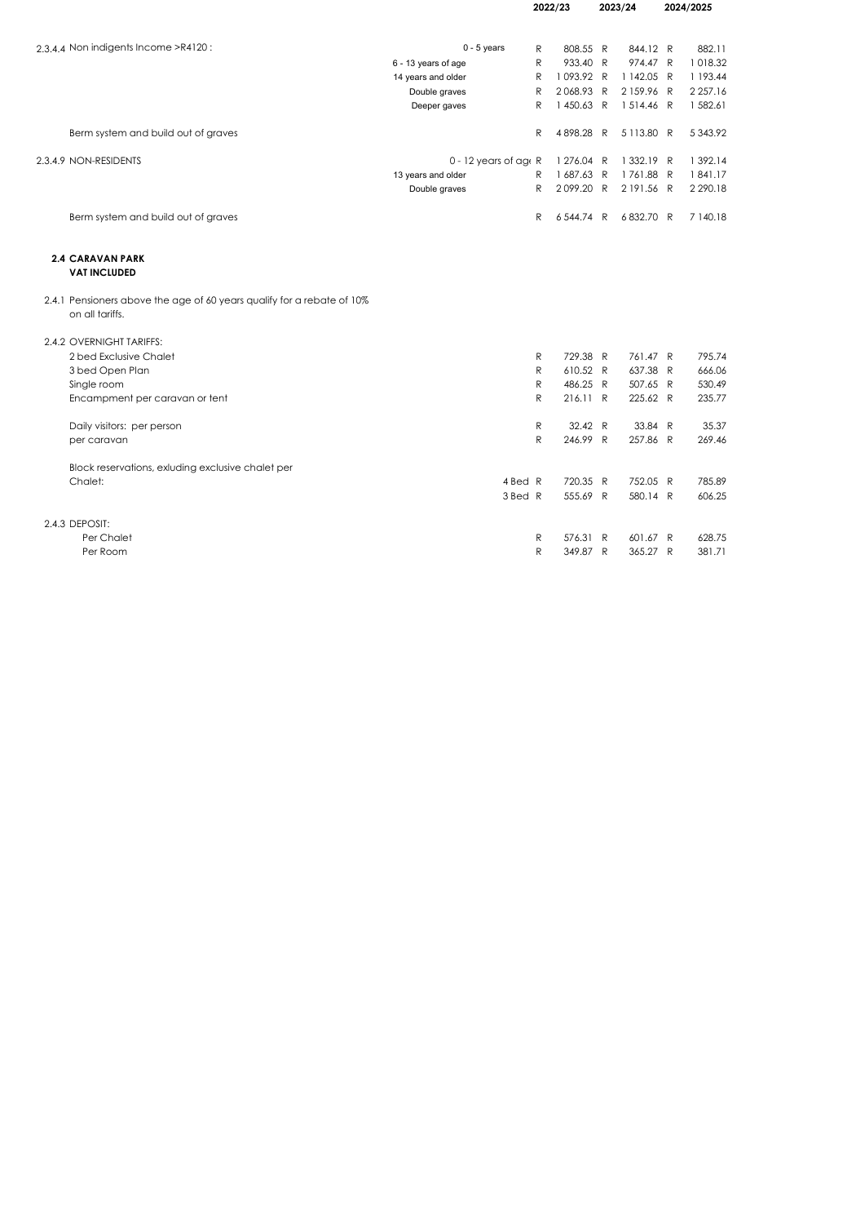|                                                                                           | 2022/23                 |              |            |   | 2023/24    |   | 2024/2025     |
|-------------------------------------------------------------------------------------------|-------------------------|--------------|------------|---|------------|---|---------------|
| 2.3.4.4 Non indigents Income >R4120:                                                      | $0 - 5$ years           | R            | 808.55 R   |   | 844.12 R   |   | 882.11        |
|                                                                                           | 6 - 13 years of age     | R            | 933.40 R   |   | 974.47 R   |   | 1018.32       |
|                                                                                           | 14 years and older      | R            | 1093.92 R  |   | 1 142.05 R |   | 1 193.44      |
|                                                                                           | Double graves           | $\mathsf{R}$ | 2068.93 R  |   | 2159.96 R  |   | 2 2 5 7 . 1 6 |
|                                                                                           | Deeper gaves            | R            | 1450.63 R  |   | 1514.46 R  |   | 1 582.61      |
| Berm system and build out of graves                                                       |                         | R            | 4898.28 R  |   | 5113.80 R  |   | 5 3 4 3 . 9 2 |
| 2.3.4.9 NON-RESIDENTS                                                                     | $0 - 12$ years of age R |              | 1 276.04 R |   | 1 332.19 R |   | 1 392.14      |
|                                                                                           | 13 years and older      | R            | 1687.63 R  |   | 1761.88 R  |   | 1841.17       |
|                                                                                           | Double graves           | R            | 2099.20 R  |   | 2191.56 R  |   | 2 2 9 0.18    |
| Berm system and build out of graves                                                       |                         | R            | 6544.74 R  |   | 6832.70 R  |   | 7 140.18      |
| <b>2.4 CARAVAN PARK</b><br><b>VAT INCLUDED</b>                                            |                         |              |            |   |            |   |               |
| 2.4.1 Pensioners above the age of 60 years qualify for a rebate of 10%<br>on all tariffs. |                         |              |            |   |            |   |               |
| 2.4.2 OVERNIGHT TARIFFS:                                                                  |                         |              |            |   |            |   |               |
| 2 bed Exclusive Chalet                                                                    |                         | R            | 729.38 R   |   | 761.47 R   |   | 795.74        |
| 3 bed Open Plan                                                                           |                         | R.           | 610.52 R   |   | 637.38 R   |   | 666.06        |
| Single room                                                                               |                         | R            | 486.25 R   |   | 507.65 R   |   | 530.49        |
| Encampment per caravan or tent                                                            |                         | R            | 216.11 R   |   | 225.62 R   |   | 235.77        |
| Daily visitors: per person                                                                |                         | R            | 32.42 R    |   | 33.84 R    |   | 35.37         |
| per caravan                                                                               |                         | R            | 246.99 R   |   | 257.86 R   |   | 269.46        |
| Block reservations, exluding exclusive chalet per                                         |                         |              |            |   |            |   |               |
| Chalet:                                                                                   | 4 Bed R                 |              | 720.35 R   |   | 752.05 R   |   | 785.89        |
|                                                                                           | 3 Bed R                 |              | 555.69 R   |   | 580.14 R   |   | 606.25        |
| 2.4.3 DEPOSIT:                                                                            |                         |              |            |   |            |   |               |
| Per Chalet                                                                                |                         | R            | 576.31 R   |   | 601.67 R   |   | 628.75        |
| Per Room                                                                                  |                         | R            | 349.87     | R | 365.27     | R | 381.71        |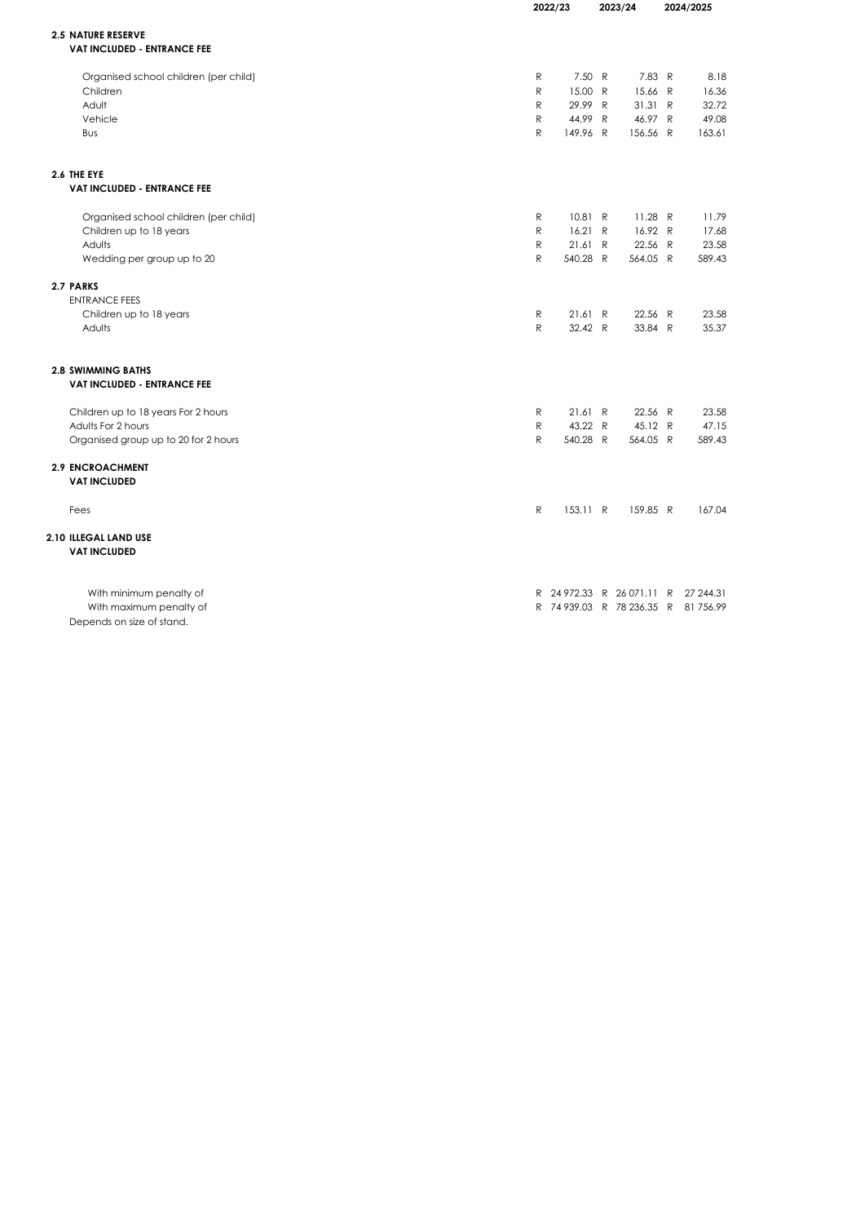| <b>2.5 NATURE RESERVE</b><br><b>VAT INCLUDED - ENTRANCE FEE</b><br>7.50 R<br>7.83 R<br>Organised school children (per child)<br>R<br>Children<br>R<br>15.00 R<br>15.66 R<br>Adult<br>R<br>29.99 R<br>31.31 R<br>$\mathsf{R}$<br>Vehicle<br>44.99 R<br>46.97 R<br>$\mathsf{R}$<br>149.96 R<br>156.56 R<br>Bus<br>2.6 THE EYE<br><b>VAT INCLUDED - ENTRANCE FEE</b> | 2024/2025      |  |
|-------------------------------------------------------------------------------------------------------------------------------------------------------------------------------------------------------------------------------------------------------------------------------------------------------------------------------------------------------------------|----------------|--|
|                                                                                                                                                                                                                                                                                                                                                                   |                |  |
|                                                                                                                                                                                                                                                                                                                                                                   |                |  |
|                                                                                                                                                                                                                                                                                                                                                                   |                |  |
|                                                                                                                                                                                                                                                                                                                                                                   | 8.18           |  |
|                                                                                                                                                                                                                                                                                                                                                                   | 16.36<br>32.72 |  |
|                                                                                                                                                                                                                                                                                                                                                                   | 49.08          |  |
|                                                                                                                                                                                                                                                                                                                                                                   | 163.61         |  |
|                                                                                                                                                                                                                                                                                                                                                                   |                |  |
|                                                                                                                                                                                                                                                                                                                                                                   |                |  |
|                                                                                                                                                                                                                                                                                                                                                                   |                |  |
| 10.81 R<br>$11.28$ R<br>Organised school children (per child)<br>R                                                                                                                                                                                                                                                                                                | 11.79          |  |
| Children up to 18 years<br>R<br>16.21 R<br>16.92 R                                                                                                                                                                                                                                                                                                                | 17.68          |  |
| ${\sf R}$<br>Adults<br>21.61<br>22.56 R<br>R                                                                                                                                                                                                                                                                                                                      | 23.58          |  |
| Wedding per group up to 20<br>R<br>540.28 R<br>564.05 R                                                                                                                                                                                                                                                                                                           | 589.43         |  |
| 2.7 PARKS                                                                                                                                                                                                                                                                                                                                                         |                |  |
| <b>ENTRANCE FEES</b>                                                                                                                                                                                                                                                                                                                                              |                |  |
| ${\sf R}$<br>21.61 R<br>22.56 R<br>Children up to 18 years                                                                                                                                                                                                                                                                                                        | 23.58          |  |
| $\mathsf{R}$<br>32.42 R<br>33.84 R<br>Adults                                                                                                                                                                                                                                                                                                                      | 35.37          |  |
| <b>2.8 SWIMMING BATHS</b><br><b>VAT INCLUDED - ENTRANCE FEE</b>                                                                                                                                                                                                                                                                                                   |                |  |
|                                                                                                                                                                                                                                                                                                                                                                   |                |  |
| Children up to 18 years For 2 hours<br>R<br>21.61 R<br>22.56 R<br>Adults For 2 hours<br>$\mathsf{R}$<br>43.22 R<br>45.12 R                                                                                                                                                                                                                                        | 23.58<br>47.15 |  |
| $\mathsf{R}$<br>Organised group up to 20 for 2 hours<br>540.28 R<br>564.05 R                                                                                                                                                                                                                                                                                      | 589.43         |  |
| <b>2.9 ENCROACHMENT</b>                                                                                                                                                                                                                                                                                                                                           |                |  |
| <b>VAT INCLUDED</b>                                                                                                                                                                                                                                                                                                                                               |                |  |
| $\mathsf{R}$<br>153.11 R<br>159.85 R<br>Fees                                                                                                                                                                                                                                                                                                                      | 167.04         |  |
| 2.10 ILLEGAL LAND USE                                                                                                                                                                                                                                                                                                                                             |                |  |
| <b>VAT INCLUDED</b>                                                                                                                                                                                                                                                                                                                                               |                |  |
| With minimum penalty of<br>R 24 972.33 R 26 071.11 R 27 244.31                                                                                                                                                                                                                                                                                                    |                |  |
| R 74 939.03 R 78 236.35 R 81 756.99<br>With maximum penalty of                                                                                                                                                                                                                                                                                                    |                |  |
| Depends on size of stand.                                                                                                                                                                                                                                                                                                                                         |                |  |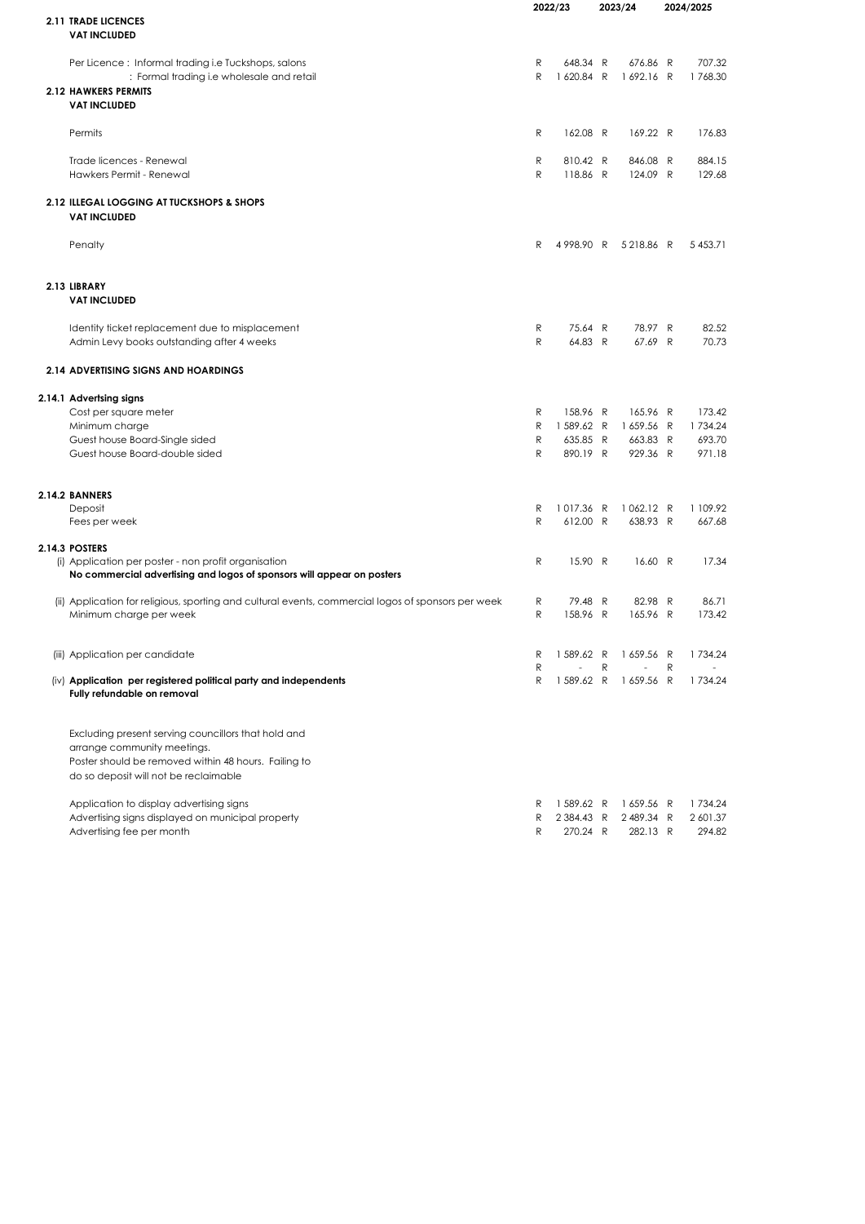|                                                                                                     |              | 2022/23        |   | 2023/24             |   | 2024/2025  |
|-----------------------------------------------------------------------------------------------------|--------------|----------------|---|---------------------|---|------------|
| <b>2.11 TRADE LICENCES</b>                                                                          |              |                |   |                     |   |            |
| <b>VAT INCLUDED</b>                                                                                 |              |                |   |                     |   |            |
| Per Licence: Informal trading i.e Tuckshops, salons                                                 | R            | 648.34 R       |   | 676.86 R            |   | 707.32     |
| : Formal trading i.e wholesale and retail                                                           | $\mathsf{R}$ | 1620.84 R      |   | 1692.16 R           |   | 1768.30    |
| <b>2.12 HAWKERS PERMITS</b>                                                                         |              |                |   |                     |   |            |
| <b>VAT INCLUDED</b>                                                                                 |              |                |   |                     |   |            |
|                                                                                                     |              |                |   |                     |   |            |
| Permits                                                                                             | R            | 162.08 R       |   | 169.22 R            |   | 176.83     |
| Trade licences - Renewal                                                                            | R            | 810.42 R       |   | 846.08 R            |   | 884.15     |
| Hawkers Permit - Renewal                                                                            | R            | 118.86 R       |   | 124.09 R            |   | 129.68     |
|                                                                                                     |              |                |   |                     |   |            |
| 2.12 ILLEGAL LOGGING AT TUCKSHOPS & SHOPS                                                           |              |                |   |                     |   |            |
| <b>VAT INCLUDED</b>                                                                                 |              |                |   |                     |   |            |
| Penalty                                                                                             | R            |                |   | 4998.90 R 5218.86 R |   | 5 4 5 3.71 |
|                                                                                                     |              |                |   |                     |   |            |
|                                                                                                     |              |                |   |                     |   |            |
| 2.13 LIBRARY<br><b>VAT INCLUDED</b>                                                                 |              |                |   |                     |   |            |
|                                                                                                     |              |                |   |                     |   |            |
| Identity ticket replacement due to misplacement                                                     | R            | 75.64 R        |   | 78.97 R             |   | 82.52      |
| Admin Levy books outstanding after 4 weeks                                                          | R            | 64.83 R        |   | 67.69 R             |   | 70.73      |
| <b>2.14 ADVERTISING SIGNS AND HOARDINGS</b>                                                         |              |                |   |                     |   |            |
| 2.14.1 Advertsing signs                                                                             |              |                |   |                     |   |            |
| Cost per square meter                                                                               | R            | 158.96 R       |   | 165.96 R            |   | 173.42     |
| Minimum charge                                                                                      | R            | 1589.62 R      |   | 1659.56 R           |   | 1734.24    |
| Guest house Board-Single sided                                                                      | R            | 635.85 R       |   | 663.83 R            |   | 693.70     |
| Guest house Board-double sided                                                                      | R            | 890.19 R       |   | 929.36 R            |   | 971.18     |
|                                                                                                     |              |                |   |                     |   |            |
| 2.14.2 BANNERS                                                                                      |              |                |   |                     |   |            |
| Deposit                                                                                             | R            | 1017.36 R      |   | 1062.12 R           |   | 1 109.92   |
| Fees per week                                                                                       | R            | 612.00 R       |   | 638.93 R            |   | 667.68     |
| 2.14.3 POSTERS                                                                                      |              |                |   |                     |   |            |
| (i) Application per poster - non profit organisation                                                | R            | 15.90 R        |   | 16.60 R             |   | 17.34      |
| No commercial advertising and logos of sponsors will appear on posters                              |              |                |   |                     |   |            |
| (ii) Application for religious, sporting and cultural events, commercial logos of sponsors per week | R            | 79.48 R        |   | 82.98 R             |   | 86.71      |
| Minimum charge per week                                                                             | R            | 158.96 R       |   | 165.96 R            |   | 173.42     |
|                                                                                                     |              |                |   |                     |   |            |
|                                                                                                     |              |                |   |                     |   |            |
| (iii) Application per candidate                                                                     | R            | $\overline{a}$ | R | 1589.62 R 1659.56 R | R | 1734.24    |
| (iv) Application per registered political party and independents                                    | R            | 1 589.62 R     |   | 1659.56 R           |   | 1734.24    |
| Fully refundable on removal                                                                         |              |                |   |                     |   |            |
| Excluding present serving councillors that hold and                                                 |              |                |   |                     |   |            |
| arrange community meetings.                                                                         |              |                |   |                     |   |            |
| Poster should be removed within 48 hours. Failing to                                                |              |                |   |                     |   |            |
| do so deposit will not be reclaimable                                                               |              |                |   |                     |   |            |
| Application to display advertising signs                                                            | R            | 1589.62 R      |   | 1659.56 R           |   | 1734.24    |
| Advertising signs displayed on municipal property                                                   | R            | 2 384.43 R     |   | 2489.34 R           |   | 2 601.37   |
| Advertising fee per month                                                                           | R            | 270.24 R       |   | 282.13 R            |   | 294.82     |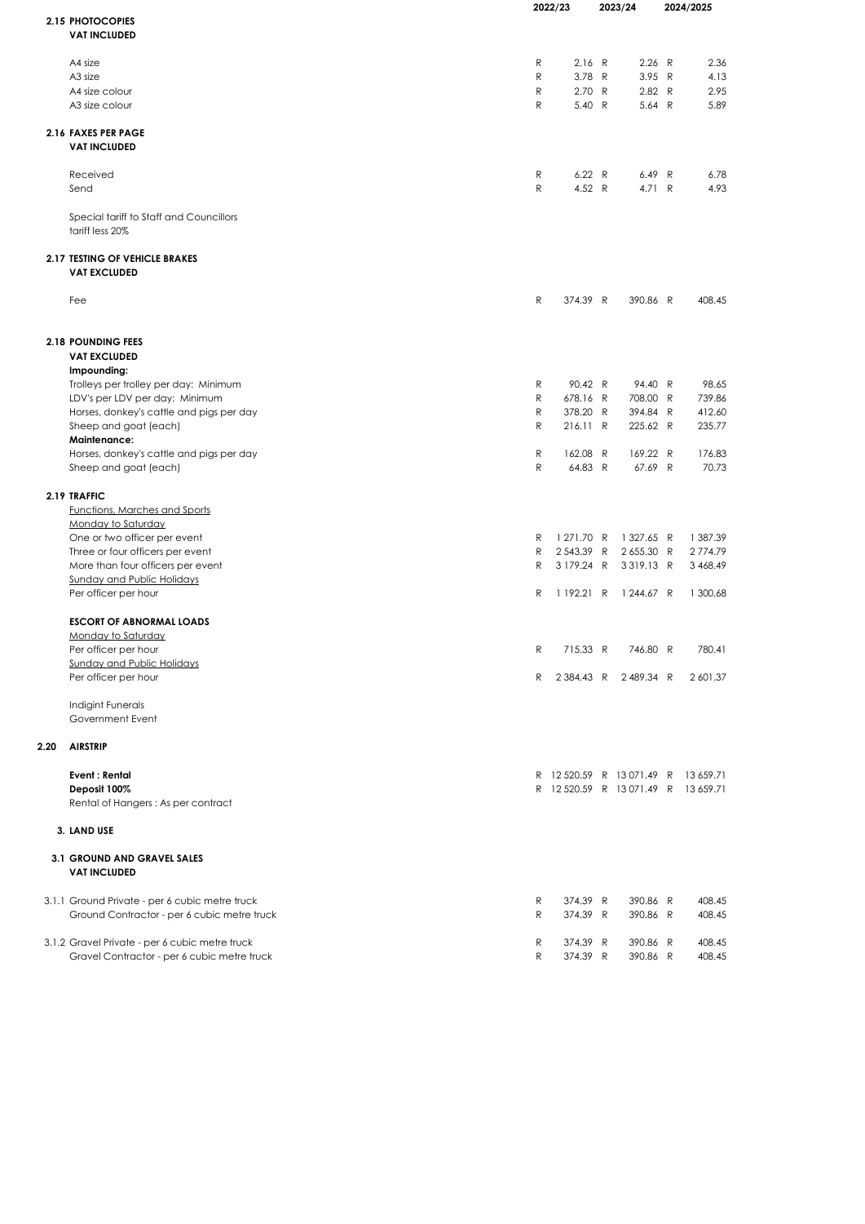|      |                                                | 2022/23      |                                                                         | 2023/24 |                     | 2024/2025 |
|------|------------------------------------------------|--------------|-------------------------------------------------------------------------|---------|---------------------|-----------|
|      | 2.15 PHOTOCOPIES                               |              |                                                                         |         |                     |           |
|      | <b>VAT INCLUDED</b>                            |              |                                                                         |         |                     |           |
|      |                                                |              |                                                                         |         |                     |           |
|      | A4 size                                        | R            | 2.16 R                                                                  |         | 2.26 R              | 2.36      |
|      | A <sub>3</sub> size                            | $\mathsf{R}$ | 3.78 R                                                                  |         | 3.95 R              | 4.13      |
|      | A4 size colour                                 | R            | 2.70 R                                                                  |         | 2.82 R              | 2.95      |
|      | A3 size colour                                 | R            | 5.40 R                                                                  |         | 5.64 R              | 5.89      |
|      |                                                |              |                                                                         |         |                     |           |
|      | 2.16 FAXES PER PAGE                            |              |                                                                         |         |                     |           |
|      | <b>VAT INCLUDED</b>                            |              |                                                                         |         |                     |           |
|      | Received                                       | R            | 6.22 R                                                                  |         | 6.49 R              | 6.78      |
|      | Send                                           | ${\sf R}$    | 4.52 R                                                                  |         | 4.71 R              | 4.93      |
|      |                                                |              |                                                                         |         |                     |           |
|      | Special tariff to Staff and Councillors        |              |                                                                         |         |                     |           |
|      | tariff less 20%                                |              |                                                                         |         |                     |           |
|      | <b>2.17 TESTING OF VEHICLE BRAKES</b>          |              |                                                                         |         |                     |           |
|      | <b>VAT EXCLUDED</b>                            |              |                                                                         |         |                     |           |
|      |                                                |              |                                                                         |         |                     |           |
|      | Fee                                            | R            | 374.39 R                                                                |         | 390.86 R            | 408.45    |
|      |                                                |              |                                                                         |         |                     |           |
|      |                                                |              |                                                                         |         |                     |           |
|      | <b>2.18 POUNDING FEES</b>                      |              |                                                                         |         |                     |           |
|      | <b>VAT EXCLUDED</b>                            |              |                                                                         |         |                     |           |
|      | Impounding:                                    |              |                                                                         |         |                     |           |
|      | Trolleys per trolley per day: Minimum          | R            | 90.42 R                                                                 |         | 94.40 R             | 98.65     |
|      | LDV's per LDV per day: Minimum                 | R            | 678.16 R                                                                |         | 708.00 R            | 739.86    |
|      | Horses, donkey's cattle and pigs per day       | R            | 378.20 R                                                                |         | 394.84 R            | 412.60    |
|      | Sheep and goat (each)                          | R            | 216.11 R                                                                |         | 225.62 R            | 235.77    |
|      | <b>Maintenance:</b>                            |              |                                                                         |         |                     |           |
|      | Horses, donkey's cattle and pigs per day       | R            | 162.08                                                                  | R       | 169.22 R            | 176.83    |
|      | Sheep and goat (each)                          | $\mathsf{R}$ | 64.83 R                                                                 |         | 67.69 R             | 70.73     |
|      | 2.19 TRAFFIC                                   |              |                                                                         |         |                     |           |
|      | <b>Functions, Marches and Sports</b>           |              |                                                                         |         |                     |           |
|      | Monday to Saturday                             |              |                                                                         |         |                     |           |
|      | One or two officer per event                   | R            | 1 271.70 R                                                              |         | 1 327.65 R          | 1 387.39  |
|      | Three or four officers per event               | R            | 2543.39 R                                                               |         | 2655.30 R           | 2774.79   |
|      | More than four officers per event              | R            | 3 179.24 R                                                              |         | 3319.13 R           | 3 468.49  |
|      | <b>Sunday and Public Holidays</b>              |              |                                                                         |         |                     |           |
|      | Per officer per hour                           | R            | 1192.21 R                                                               |         | 1 244.67 R          | 1 300.68  |
|      |                                                |              |                                                                         |         |                     |           |
|      | <b>ESCORT OF ABNORMAL LOADS</b>                |              |                                                                         |         |                     |           |
|      | <b>Monday to Saturday</b>                      |              |                                                                         |         |                     |           |
|      | Per officer per hour                           | R            | 715.33 R                                                                |         | 746.80 R            | 780.41    |
|      | <b>Sunday and Public Holidays</b>              |              |                                                                         |         |                     |           |
|      | Per officer per hour                           | R            |                                                                         |         | 2384.43 R 2489.34 R | 2 601.37  |
|      | Indigint Funerals                              |              |                                                                         |         |                     |           |
|      | Government Event                               |              |                                                                         |         |                     |           |
|      |                                                |              |                                                                         |         |                     |           |
| 2.20 | <b>AIRSTRIP</b>                                |              |                                                                         |         |                     |           |
|      | <b>Event: Rental</b>                           |              |                                                                         |         |                     |           |
|      | Deposit 100%                                   |              | R 12520.59 R 13071.49 R 13659.71<br>R 12 520.59 R 13 071.49 R 13 659.71 |         |                     |           |
|      | Rental of Hangers: As per contract             |              |                                                                         |         |                     |           |
|      |                                                |              |                                                                         |         |                     |           |
|      | 3. LAND USE                                    |              |                                                                         |         |                     |           |
|      |                                                |              |                                                                         |         |                     |           |
|      | <b>3.1 GROUND AND GRAVEL SALES</b>             |              |                                                                         |         |                     |           |
|      | <b>VAT INCLUDED</b>                            |              |                                                                         |         |                     |           |
|      |                                                |              |                                                                         |         |                     |           |
|      | 3.1.1 Ground Private - per 6 cubic metre truck | R            | 374.39 R                                                                |         | 390.86 R            | 408.45    |
|      | Ground Contractor - per 6 cubic metre truck    | R            | 374.39 R                                                                |         | 390.86 R            | 408.45    |
|      | 3.1.2 Gravel Private - per 6 cubic metre truck | R            | 374.39 R                                                                |         | 390.86 R            | 408.45    |
|      | Gravel Contractor - per 6 cubic metre truck    | R            | 374.39 R                                                                |         | 390.86 R            | 408.45    |
|      |                                                |              |                                                                         |         |                     |           |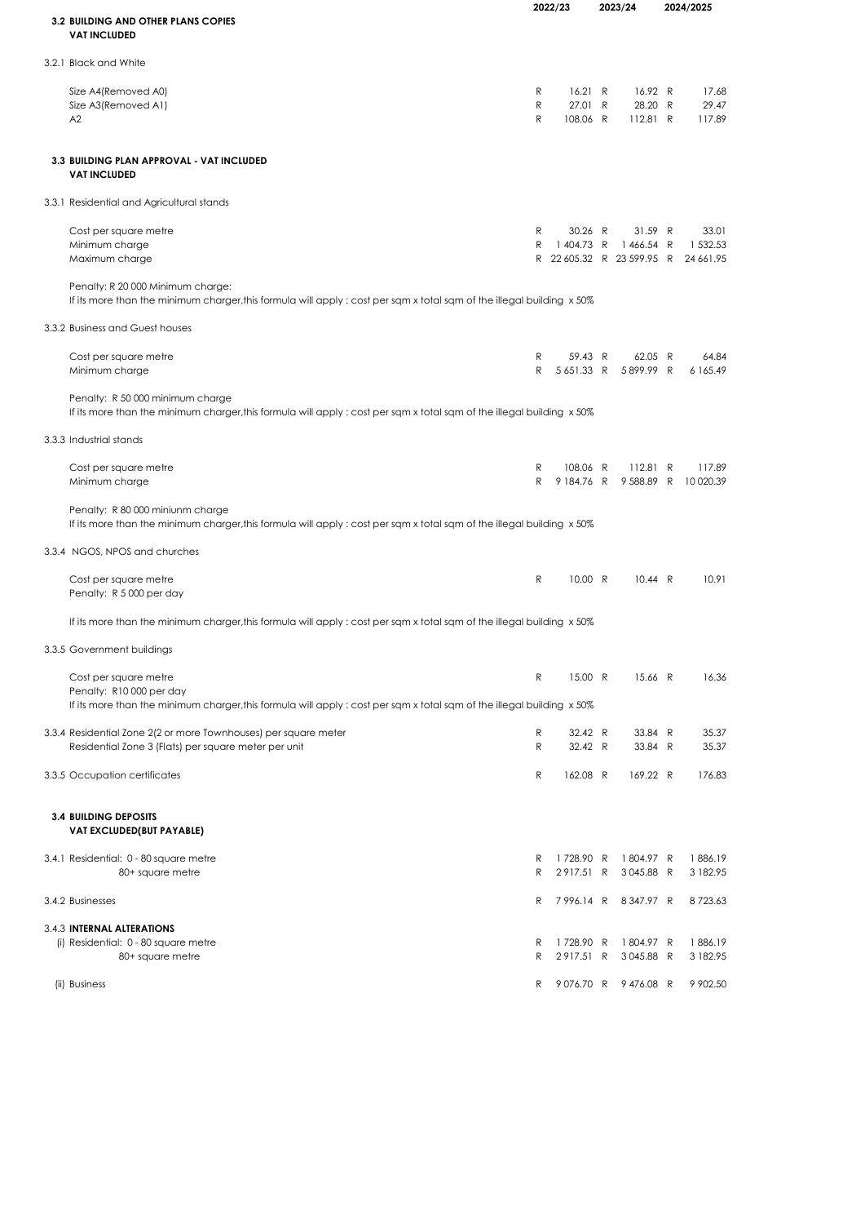| <b>3.2 BUILDING AND OTHER PLANS COPIES</b>                                                                                                                  |             | 2022/23                        |  | 2023/24                                                     | 2024/2025                      |  |
|-------------------------------------------------------------------------------------------------------------------------------------------------------------|-------------|--------------------------------|--|-------------------------------------------------------------|--------------------------------|--|
| <b>VAT INCLUDED</b>                                                                                                                                         |             |                                |  |                                                             |                                |  |
| 3.2.1 Black and White                                                                                                                                       |             |                                |  |                                                             |                                |  |
| Size A4(Removed A0)<br>Size A3(Removed A1)<br>A2                                                                                                            | R<br>R<br>R | 16.21 R<br>27.01 R<br>108.06 R |  | 16.92 R<br>28.20 R<br>112.81 R                              | 17.68<br>29.47<br>117.89       |  |
| 3.3 BUILDING PLAN APPROVAL - VAT INCLUDED<br><b>VAT INCLUDED</b>                                                                                            |             |                                |  |                                                             |                                |  |
| 3.3.1 Residential and Agricultural stands                                                                                                                   |             |                                |  |                                                             |                                |  |
| Cost per square metre<br>Minimum charge<br>Maximum charge                                                                                                   | R<br>R      | 30.26 R                        |  | 31.59 R<br>1404.73 R 1466.54 R<br>R 22 605.32 R 23 599.95 R | 33.01<br>1 532.53<br>24 661.95 |  |
| Penalty: R 20 000 Minimum charge:<br>If its more than the minimum charger, this formula will apply : cost per sqm x total sqm of the illegal building x 50% |             |                                |  |                                                             |                                |  |
| 3.3.2 Business and Guest houses                                                                                                                             |             |                                |  |                                                             |                                |  |
| Cost per square metre<br>Minimum charge                                                                                                                     | R<br>R      | 59.43 R<br>5651.33 R           |  | 62.05 R<br>5899.99 R                                        | 64.84<br>6 165.49              |  |
| Penalty: R 50 000 minimum charge<br>If its more than the minimum charger, this formula will apply : cost per sqm x total sqm of the illegal building x 50%  |             |                                |  |                                                             |                                |  |
| 3.3.3 Industrial stands                                                                                                                                     |             |                                |  |                                                             |                                |  |
| Cost per square metre<br>Minimum charge                                                                                                                     | R<br>R      | 108.06 R                       |  | 112.81 R<br>9 184.76 R 9 588.89 R 10 020.39                 | 117.89                         |  |
| Penalty: R 80 000 miniunm charge<br>If its more than the minimum charger, this formula will apply: cost per sqm x total sqm of the illegal building x 50%   |             |                                |  |                                                             |                                |  |
| 3.3.4 NGOS, NPOS and churches                                                                                                                               |             |                                |  |                                                             |                                |  |
| Cost per square metre<br>Penalty: R 5000 per day                                                                                                            | R           | 10.00 R                        |  | 10.44 R                                                     | 10.91                          |  |
| If its more than the minimum charger, this formula will apply: cost per sqm x total sqm of the illegal building x 50%                                       |             |                                |  |                                                             |                                |  |
| 3.3.5 Government buildings                                                                                                                                  |             |                                |  |                                                             |                                |  |
| Cost per square metre<br>Penalty: R10 000 per day                                                                                                           | R           | 15.00 R                        |  | 15.66 R                                                     | 16.36                          |  |
| If its more than the minimum charger, this formula will apply: cost per sqm x total sqm of the illegal building x 50%                                       |             |                                |  |                                                             |                                |  |
| 3.3.4 Residential Zone 2(2 or more Townhouses) per square meter<br>Residential Zone 3 (Flats) per square meter per unit                                     | R<br>R      | 32.42 R<br>32.42 R             |  | 33.84 R<br>33.84 R                                          | 35.37<br>35.37                 |  |
| 3.3.5 Occupation certificates                                                                                                                               | R           | 162.08 R                       |  | 169.22 R                                                    | 176.83                         |  |
| <b>3.4 BUILDING DEPOSITS</b><br>VAT EXCLUDED(BUT PAYABLE)                                                                                                   |             |                                |  |                                                             |                                |  |
| 3.4.1 Residential: 0 - 80 square metre<br>80+ square metre                                                                                                  | R<br>R      | 1728.90 R<br>2917.51 R         |  | 1804.97 R<br>3045.88 R                                      | 1886.19<br>3 182.95            |  |
| 3.4.2 Businesses                                                                                                                                            | R           | 7996.14 R                      |  | 8347.97 R                                                   | 8723.63                        |  |
| 3.4.3 INTERNAL ALTERATIONS                                                                                                                                  |             |                                |  |                                                             |                                |  |
| (i) Residential: 0 - 80 square metre<br>80+ square metre                                                                                                    | R<br>R      | 1728.90 R<br>2917.51 R         |  | 1804.97 R<br>3045.88 R                                      | 1886.19<br>3 182.95            |  |
| (ii) Business                                                                                                                                               | R           |                                |  | 9076.70 R 9476.08 R                                         | 9 902.50                       |  |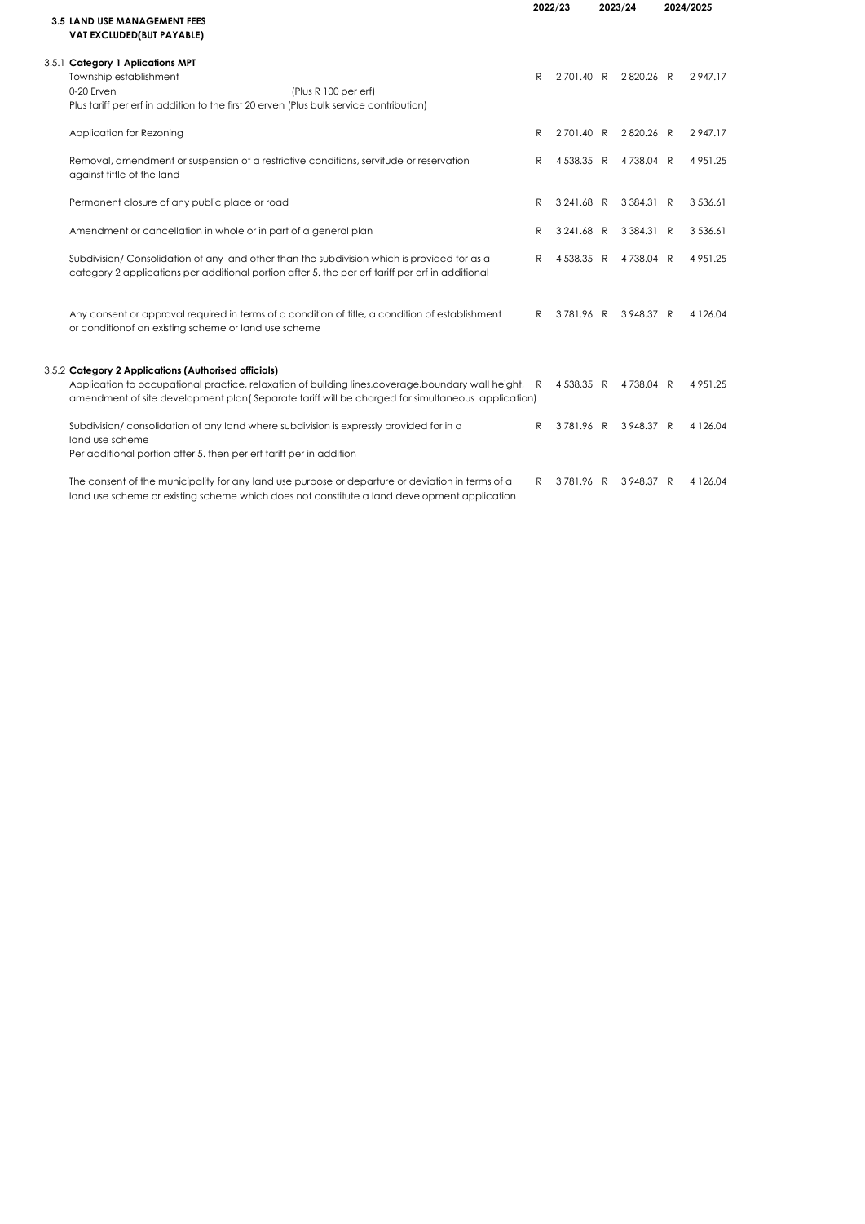|                                                                                                                                                                                                                                                                    | 2022/23 |            | 2023/24    | 2024/2025     |
|--------------------------------------------------------------------------------------------------------------------------------------------------------------------------------------------------------------------------------------------------------------------|---------|------------|------------|---------------|
| 3.5 LAND USE MANAGEMENT FEES<br>VAT EXCLUDED(BUT PAYABLE)                                                                                                                                                                                                          |         |            |            |               |
| 3.5.1 Category 1 Aplications MPT<br>Township establishment<br>0-20 Erven<br>(Plus R 100 per erf)<br>Plus tariff per erf in addition to the first 20 erven (Plus bulk service contribution)                                                                         | R       | 2701.40 R  | 2820.26 R  | 2947.17       |
| Application for Rezoning                                                                                                                                                                                                                                           | R       | 2701.40 R  | 2820.26 R  | 2947.17       |
| Removal, amendment or suspension of a restrictive conditions, servitude or reservation<br>against tittle of the land                                                                                                                                               | R       | 4538.35 R  | 4738.04 R  | 4 9 5 1 . 2 5 |
| Permanent closure of any public place or road                                                                                                                                                                                                                      | R       | 3 241.68 R | 3 384.31 R | 3 5 3 6 . 6 1 |
| Amendment or cancellation in whole or in part of a general plan                                                                                                                                                                                                    | R       | 3 241.68 R | 3 384.31 R | 3 5 3 6 . 6 1 |
| Subdivision/Consolidation of any land other than the subdivision which is provided for as a<br>category 2 applications per additional portion after 5, the per erf tariff per erf in additional                                                                    | R       | 4538.35 R  | 4738.04 R  | 4 9 5 1.25    |
| Any consent or approval required in terms of a condition of title, a condition of establishment<br>or conditionof an existing scheme or land use scheme                                                                                                            | R       | 3781.96 R  | 3948.37 R  | 4 1 2 6 .04   |
| 3.5.2 Category 2 Applications (Authorised officials)<br>Application to occupational practice, relaxation of building lines, coverage, boundary wall height, R<br>amendment of site development plan (Separate tariff will be charged for simultaneous application) |         | 4538.35 R  | 4738.04 R  | 4 9 5 1 . 2 5 |
| Subdivision/consolidation of any land where subdivision is expressly provided for in a<br>land use scheme<br>Per additional portion after 5. then per erf tariff per in addition                                                                                   | R       | 3781.96 R  | 3948.37 R  | 4 1 2 6 .04   |
| The consent of the municipality for any land use purpose or departure or deviation in terms of a<br>land use scheme or existing scheme which does not constitute a land development application                                                                    | R       | 3781.96 R  | 3948.37 R  | 4 1 2 6 .04   |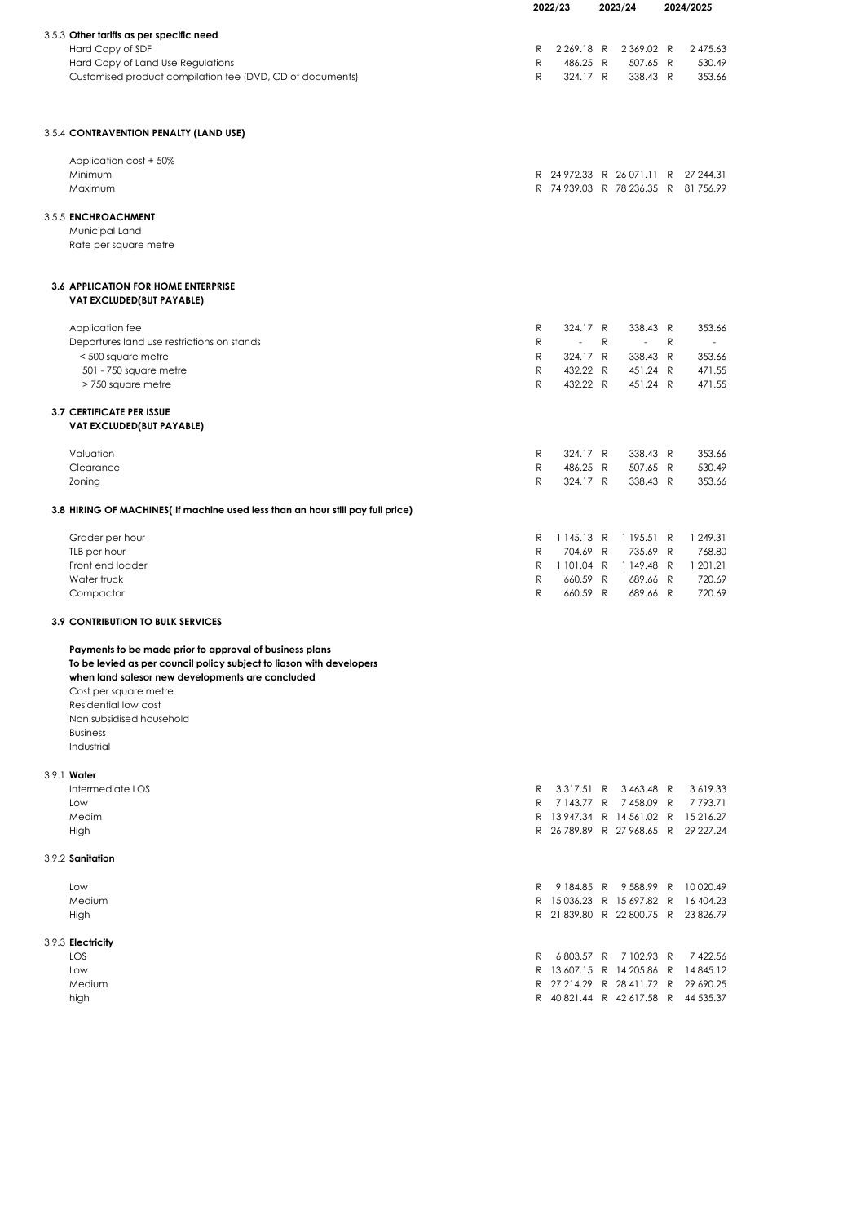|                                                                                                                                                                                                              | 2022/23      |  | 2023/24        |   |                                     | 2024/2025 |            |
|--------------------------------------------------------------------------------------------------------------------------------------------------------------------------------------------------------------|--------------|--|----------------|---|-------------------------------------|-----------|------------|
|                                                                                                                                                                                                              |              |  |                |   |                                     |           |            |
| 3.5.3 Other tariffs as per specific need                                                                                                                                                                     |              |  |                |   |                                     |           |            |
| Hard Copy of SDF                                                                                                                                                                                             | R            |  | 2 269.18 R     |   | 2369.02 R                           |           | 2 475.63   |
| Hard Copy of Land Use Regulations                                                                                                                                                                            | ${\sf R}$    |  | 486.25 R       |   | 507.65 R                            |           | 530.49     |
| Customised product compilation fee (DVD, CD of documents)                                                                                                                                                    | R            |  | 324.17 R       |   | 338.43 R                            |           | 353.66     |
| 3.5.4 CONTRAVENTION PENALTY (LAND USE)                                                                                                                                                                       |              |  |                |   |                                     |           |            |
|                                                                                                                                                                                                              |              |  |                |   |                                     |           |            |
| Application cost + 50%<br>Minimum                                                                                                                                                                            |              |  |                |   | R 24972.33 R 26071.11 R 27 244.31   |           |            |
| Maximum                                                                                                                                                                                                      |              |  |                |   | R 74 939.03 R 78 236.35 R 81 756.99 |           |            |
|                                                                                                                                                                                                              |              |  |                |   |                                     |           |            |
| 3.5.5 ENCHROACHMENT                                                                                                                                                                                          |              |  |                |   |                                     |           |            |
| Municipal Land                                                                                                                                                                                               |              |  |                |   |                                     |           |            |
| Rate per square metre                                                                                                                                                                                        |              |  |                |   |                                     |           |            |
| <b>3.6 APPLICATION FOR HOME ENTERPRISE</b><br>VAT EXCLUDED(BUT PAYABLE)                                                                                                                                      |              |  |                |   |                                     |           |            |
| Application fee                                                                                                                                                                                              | R            |  | 324.17 R       |   | 338.43 R                            |           | 353.66     |
| Departures land use restrictions on stands                                                                                                                                                                   | R            |  | $\blacksquare$ | R | $\overline{\phantom{a}}$            | R         |            |
| < 500 square metre                                                                                                                                                                                           | R            |  | 324.17 R       |   | 338.43 R                            |           | 353.66     |
| 501 - 750 square metre                                                                                                                                                                                       | $\mathsf{R}$ |  | 432.22 R       |   | 451.24 R                            |           | 471.55     |
| > 750 square metre                                                                                                                                                                                           | R            |  | 432.22 R       |   | 451.24 R                            |           | 471.55     |
| <b>3.7 CERTIFICATE PER ISSUE</b><br>VAT EXCLUDED(BUT PAYABLE)                                                                                                                                                |              |  |                |   |                                     |           |            |
| Valuation                                                                                                                                                                                                    | R            |  | 324.17 R       |   | 338.43 R                            |           | 353.66     |
| Clearance                                                                                                                                                                                                    | $\mathsf{R}$ |  | 486.25 R       |   | 507.65 R                            |           | 530.49     |
| Zoning                                                                                                                                                                                                       | R            |  | 324.17 R       |   | 338.43 R                            |           | 353.66     |
| 3.8 HIRING OF MACHINES(If machine used less than an hour still pay full price)                                                                                                                               |              |  |                |   |                                     |           |            |
| Grader per hour                                                                                                                                                                                              | R            |  | 1145.13 R      |   | 1 195.51 R                          |           | 1 249.31   |
| TLB per hour                                                                                                                                                                                                 | R            |  | 704.69 R       |   | 735.69 R                            |           | 768.80     |
| Front end loader                                                                                                                                                                                             | R            |  | 1 101.04 R     |   | 1149.48 R                           |           | 1 201.21   |
| Water truck                                                                                                                                                                                                  | R            |  | 660.59 R       |   | 689.66 R                            |           | 720.69     |
| Compactor                                                                                                                                                                                                    | R            |  | 660.59 R       |   | 689.66 R                            |           | 720.69     |
| <b>3.9 CONTRIBUTION TO BULK SERVICES</b>                                                                                                                                                                     |              |  |                |   |                                     |           |            |
| Payments to be made prior to approval of business plans<br>To be levied as per council policy subject to liason with developers<br>when land salesor new developments are concluded<br>Cost per square metre |              |  |                |   |                                     |           |            |
| Residential low cost                                                                                                                                                                                         |              |  |                |   |                                     |           |            |
| Non subsidised household                                                                                                                                                                                     |              |  |                |   |                                     |           |            |
| <b>Business</b><br>Industrial                                                                                                                                                                                |              |  |                |   |                                     |           |            |
| 3.9.1 Water                                                                                                                                                                                                  |              |  |                |   |                                     |           |            |
| Intermediate LOS                                                                                                                                                                                             | R            |  |                |   | 3 3 1 7.51 R 3 4 6 3.48 R           |           | 3 619.33   |
| Low                                                                                                                                                                                                          | R.           |  |                |   | 7 143.77 R 7 458.09 R               |           | 7793.71    |
| Medim                                                                                                                                                                                                        |              |  |                |   | R 13947.34 R 14561.02 R 15216.27    |           |            |
| High                                                                                                                                                                                                         |              |  |                |   | R 26 789.89 R 27 968.65 R 29 227.24 |           |            |
| 3.9.2 Sanitation                                                                                                                                                                                             |              |  |                |   |                                     |           |            |
| Low                                                                                                                                                                                                          | R.           |  |                |   | 9184.85 R 9588.99 R                 |           | 10 0 20.49 |
| Medium                                                                                                                                                                                                       |              |  |                |   | R 15036.23 R 15697.82 R 16404.23    |           |            |
| High                                                                                                                                                                                                         |              |  |                |   | R 21 839.80 R 22 800.75 R 23 826.79 |           |            |
| 3.9.3 Electricity                                                                                                                                                                                            |              |  |                |   |                                     |           |            |
| LOS                                                                                                                                                                                                          | R            |  |                |   | 6803.57 R 7102.93 R                 |           | 7 422.56   |
| Low                                                                                                                                                                                                          |              |  |                |   | R 13 607.15 R 14 205.86 R           |           | 14 845.12  |
| Medium                                                                                                                                                                                                       |              |  |                |   | R 27 214.29 R 28 411.72 R           |           | 29 690.25  |
| high                                                                                                                                                                                                         |              |  |                |   | R 40 821.44 R 42 617.58 R 44 535.37 |           |            |